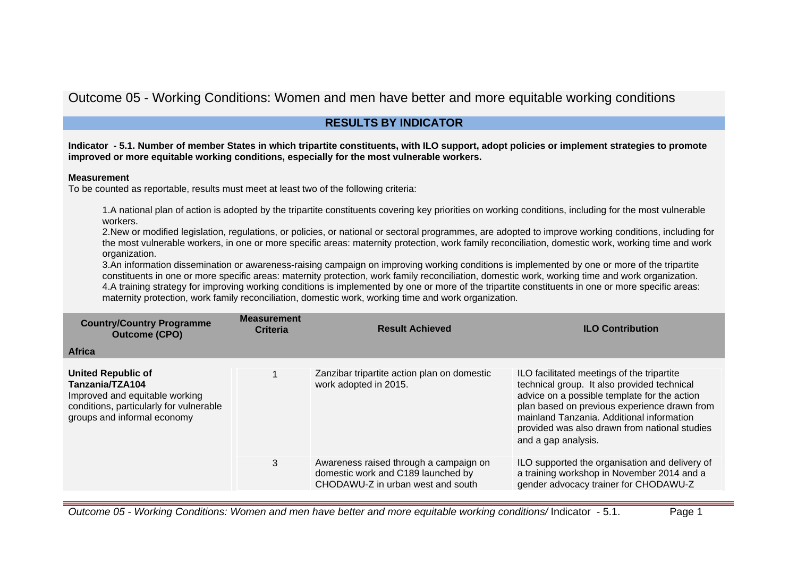# Outcome 05 - Working Conditions: Women and men have better and more equitable working conditions

# **RESULTS BY INDICATOR**

## **Indicator - 5.1. Number of member States in which tripartite constituents, with ILO support, adopt policies or implement strategies to promote improved or more equitable working conditions, especially for the most vulnerable workers.**

## **Measurement**

To be counted as reportable, results must meet at least two of the following criteria:

1.A national plan of action is adopted by the tripartite constituents covering key priorities on working conditions, including for the most vulnerable workers.

2.New or modified legislation, regulations, or policies, or national or sectoral programmes, are adopted to improve working conditions, including for the most vulnerable workers, in one or more specific areas: maternity protection, work family reconciliation, domestic work, working time and work organization.

3.An information dissemination or awareness-raising campaign on improving working conditions is implemented by one or more of the tripartite constituents in one or more specific areas: maternity protection, work family reconciliation, domestic work, working time and work organization. 4.A training strategy for improving working conditions is implemented by one or more of the tripartite constituents in one or more specific areas: maternity protection, work family reconciliation, domestic work, working time and work organization.

| <b>Country/Country Programme</b><br><b>Outcome (CPO)</b><br><b>Africa</b>                                                                                | <b>Measurement</b><br><b>Criteria</b> | <b>Result Achieved</b>                                                                                            | <b>ILO Contribution</b>                                                                                                                                                                                                                                                                                        |
|----------------------------------------------------------------------------------------------------------------------------------------------------------|---------------------------------------|-------------------------------------------------------------------------------------------------------------------|----------------------------------------------------------------------------------------------------------------------------------------------------------------------------------------------------------------------------------------------------------------------------------------------------------------|
|                                                                                                                                                          |                                       |                                                                                                                   |                                                                                                                                                                                                                                                                                                                |
| <b>United Republic of</b><br>Tanzania/TZA104<br>Improved and equitable working<br>conditions, particularly for vulnerable<br>groups and informal economy |                                       | Zanzibar tripartite action plan on domestic<br>work adopted in 2015.                                              | ILO facilitated meetings of the tripartite<br>technical group. It also provided technical<br>advice on a possible template for the action<br>plan based on previous experience drawn from<br>mainland Tanzania. Additional information<br>provided was also drawn from national studies<br>and a gap analysis. |
|                                                                                                                                                          | 3                                     | Awareness raised through a campaign on<br>domestic work and C189 launched by<br>CHODAWU-Z in urban west and south | ILO supported the organisation and delivery of<br>a training workshop in November 2014 and a<br>gender advocacy trainer for CHODAWU-Z                                                                                                                                                                          |

Outcome 05 - Working Conditions: Women and men have better and more equitable working conditions/ Indicator - 5.1. Page 1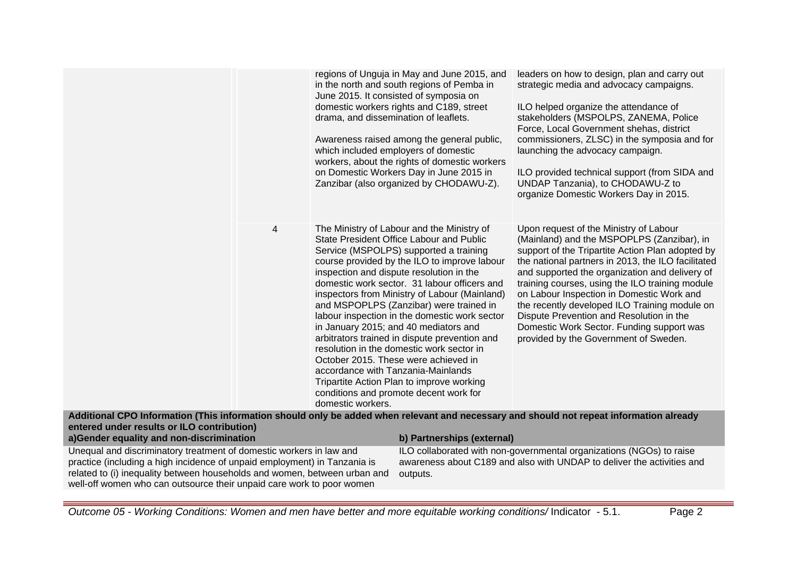|                                                                                                                                                                                                                                   | drama, and dissemination of leaflets.                   | regions of Unguja in May and June 2015, and<br>in the north and south regions of Pemba in<br>June 2015. It consisted of symposia on<br>domestic workers rights and C189, street<br>Awareness raised among the general public,<br>which included employers of domestic<br>workers, about the rights of domestic workers<br>on Domestic Workers Day in June 2015 in<br>Zanzibar (also organized by CHODAWU-Z).                                                                                                                                                                                                                                                                                    | leaders on how to design, plan and carry out<br>strategic media and advocacy campaigns.<br>ILO helped organize the attendance of<br>stakeholders (MSPOLPS, ZANEMA, Police<br>Force, Local Government shehas, district<br>commissioners, ZLSC) in the symposia and for<br>launching the advocacy campaign.<br>ILO provided technical support (from SIDA and<br>UNDAP Tanzania), to CHODAWU-Z to<br>organize Domestic Workers Day in 2015.                                                                                            |
|-----------------------------------------------------------------------------------------------------------------------------------------------------------------------------------------------------------------------------------|---------------------------------------------------------|-------------------------------------------------------------------------------------------------------------------------------------------------------------------------------------------------------------------------------------------------------------------------------------------------------------------------------------------------------------------------------------------------------------------------------------------------------------------------------------------------------------------------------------------------------------------------------------------------------------------------------------------------------------------------------------------------|-------------------------------------------------------------------------------------------------------------------------------------------------------------------------------------------------------------------------------------------------------------------------------------------------------------------------------------------------------------------------------------------------------------------------------------------------------------------------------------------------------------------------------------|
| 4                                                                                                                                                                                                                                 | accordance with Tanzania-Mainlands<br>domestic workers. | The Ministry of Labour and the Ministry of<br>State President Office Labour and Public<br>Service (MSPOLPS) supported a training<br>course provided by the ILO to improve labour<br>inspection and dispute resolution in the<br>domestic work sector. 31 labour officers and<br>inspectors from Ministry of Labour (Mainland)<br>and MSPOPLPS (Zanzibar) were trained in<br>labour inspection in the domestic work sector<br>in January 2015; and 40 mediators and<br>arbitrators trained in dispute prevention and<br>resolution in the domestic work sector in<br>October 2015. These were achieved in<br>Tripartite Action Plan to improve working<br>conditions and promote decent work for | Upon request of the Ministry of Labour<br>(Mainland) and the MSPOPLPS (Zanzibar), in<br>support of the Tripartite Action Plan adopted by<br>the national partners in 2013, the ILO facilitated<br>and supported the organization and delivery of<br>training courses, using the ILO training module<br>on Labour Inspection in Domestic Work and<br>the recently developed ILO Training module on<br>Dispute Prevention and Resolution in the<br>Domestic Work Sector. Funding support was<br>provided by the Government of Sweden. |
| Additional CPO Information (This information should only be added when relevant and necessary and should not repeat information already<br>entered under results or ILO contribution)<br>a)Gender equality and non-discrimination |                                                         | b) Partnerships (external)                                                                                                                                                                                                                                                                                                                                                                                                                                                                                                                                                                                                                                                                      |                                                                                                                                                                                                                                                                                                                                                                                                                                                                                                                                     |
| Unequal and discriminatory treatment of domestic workers in law and                                                                                                                                                               |                                                         |                                                                                                                                                                                                                                                                                                                                                                                                                                                                                                                                                                                                                                                                                                 | ILO collaborated with non-governmental organizations (NGOs) to raise                                                                                                                                                                                                                                                                                                                                                                                                                                                                |
| practice (including a high incidence of unpaid employment) in Tanzania is<br>related to (i) inequality between households and women, between urban and                                                                            |                                                         | outputs.                                                                                                                                                                                                                                                                                                                                                                                                                                                                                                                                                                                                                                                                                        | awareness about C189 and also with UNDAP to deliver the activities and                                                                                                                                                                                                                                                                                                                                                                                                                                                              |

well-off women who can outsource their unpaid care work to poor women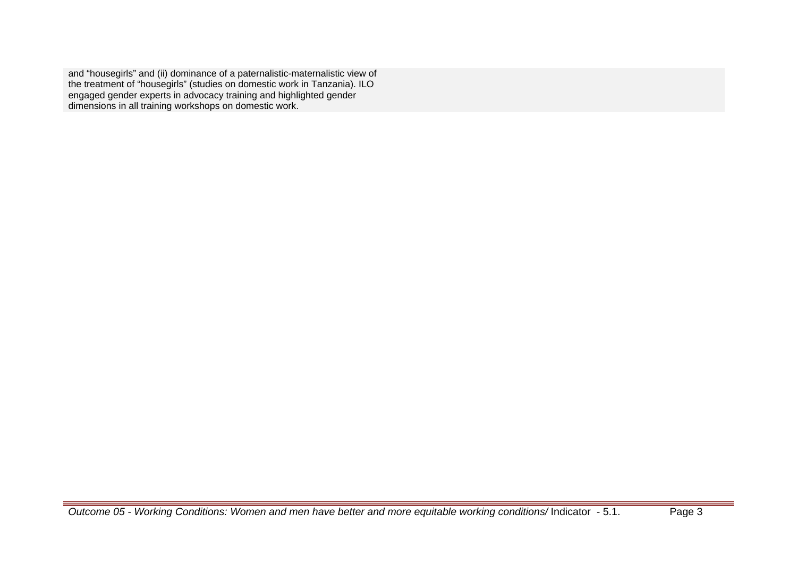and "housegirls" and (ii) dominance of a paternalistic-maternalistic view of the treatment of "housegirls" (studies on domestic work in Tanzania). ILO engaged gender experts in advocacy training and highlighted gender dimensions in all training workshops on domestic work.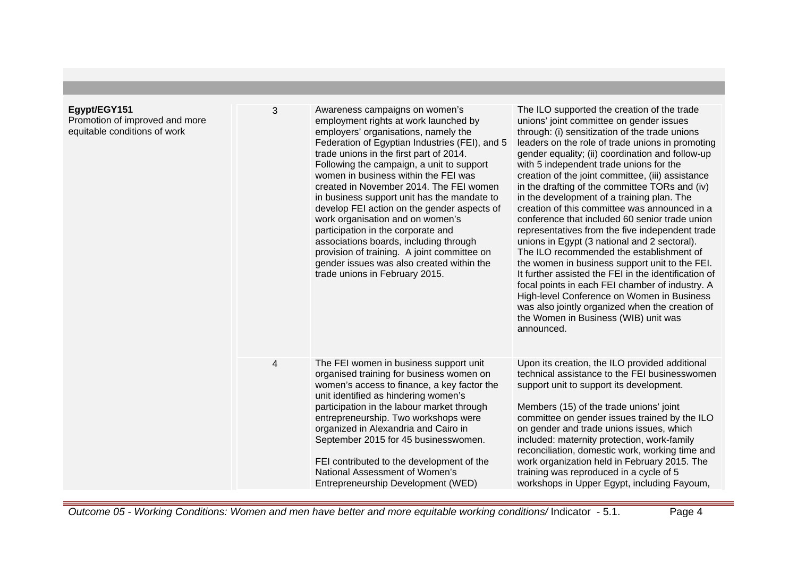| Egypt/EGY151<br>Promotion of improved and more<br>equitable conditions of work | 3 | Awareness campaigns on women's<br>employment rights at work launched by<br>employers' organisations, namely the<br>Federation of Egyptian Industries (FEI), and 5<br>trade unions in the first part of 2014.<br>Following the campaign, a unit to support<br>women in business within the FEI was<br>created in November 2014. The FEI women<br>in business support unit has the mandate to<br>develop FEI action on the gender aspects of<br>work organisation and on women's<br>participation in the corporate and<br>associations boards, including through<br>provision of training. A joint committee on<br>gender issues was also created within the<br>trade unions in February 2015. | The ILO supported the creation of the trade<br>unions' joint committee on gender issues<br>through: (i) sensitization of the trade unions<br>leaders on the role of trade unions in promoting<br>gender equality; (ii) coordination and follow-up<br>with 5 independent trade unions for the<br>creation of the joint committee, (iii) assistance<br>in the drafting of the committee TORs and (iv)<br>in the development of a training plan. The<br>creation of this committee was announced in a<br>conference that included 60 senior trade union<br>representatives from the five independent trade<br>unions in Egypt (3 national and 2 sectoral).<br>The ILO recommended the establishment of<br>the women in business support unit to the FEI.<br>It further assisted the FEI in the identification of<br>focal points in each FEI chamber of industry. A<br>High-level Conference on Women in Business<br>was also jointly organized when the creation of<br>the Women in Business (WIB) unit was<br>announced. |
|--------------------------------------------------------------------------------|---|----------------------------------------------------------------------------------------------------------------------------------------------------------------------------------------------------------------------------------------------------------------------------------------------------------------------------------------------------------------------------------------------------------------------------------------------------------------------------------------------------------------------------------------------------------------------------------------------------------------------------------------------------------------------------------------------|-------------------------------------------------------------------------------------------------------------------------------------------------------------------------------------------------------------------------------------------------------------------------------------------------------------------------------------------------------------------------------------------------------------------------------------------------------------------------------------------------------------------------------------------------------------------------------------------------------------------------------------------------------------------------------------------------------------------------------------------------------------------------------------------------------------------------------------------------------------------------------------------------------------------------------------------------------------------------------------------------------------------------|
|                                                                                | 4 | The FEI women in business support unit<br>organised training for business women on<br>women's access to finance, a key factor the<br>unit identified as hindering women's<br>participation in the labour market through<br>entrepreneurship. Two workshops were<br>organized in Alexandria and Cairo in<br>September 2015 for 45 businesswomen.<br>FEI contributed to the development of the<br>National Assessment of Women's<br>Entrepreneurship Development (WED)                                                                                                                                                                                                                         | Upon its creation, the ILO provided additional<br>technical assistance to the FEI businesswomen<br>support unit to support its development.<br>Members (15) of the trade unions' joint<br>committee on gender issues trained by the ILO<br>on gender and trade unions issues, which<br>included: maternity protection, work-family<br>reconciliation, domestic work, working time and<br>work organization held in February 2015. The<br>training was reproduced in a cycle of 5<br>workshops in Upper Egypt, including Fayoum,                                                                                                                                                                                                                                                                                                                                                                                                                                                                                         |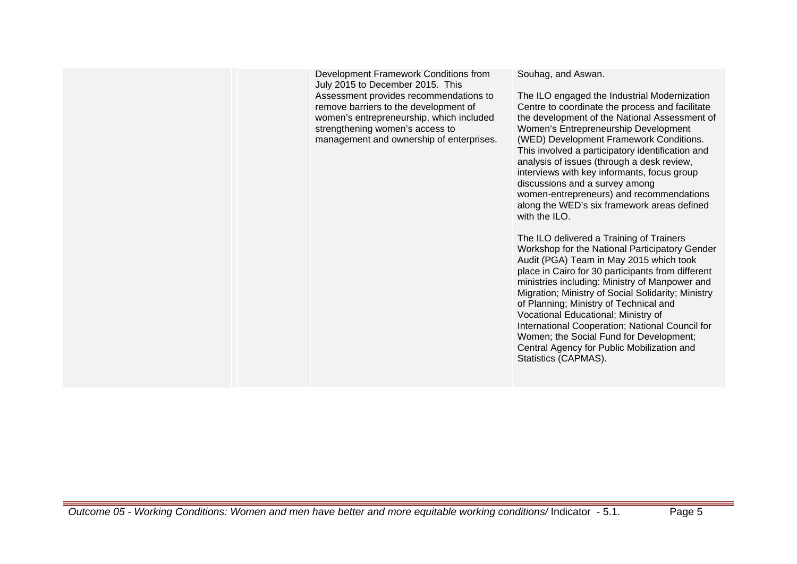Development Framework Conditions from July 2015 to December 2015. This Assessment provides recommendations to remove barriers to the development of women's entrepreneurship, which included strengthening women's access to management and ownership of enterprises. Souhag, and Aswan. The ILO engaged the Industrial Modernization Centre to coordinate the process and facilitate the development of the National Assessment of Women's Entrepreneurship Development (WED) Development Framework Conditions. This involved a participatory identification and analysis of issues (through a desk review, interviews with key informants, focus group discussions and a survey among women-entrepreneurs) and recommendations along the WED's six framework areas defined with the II  $\Omega$ The ILO delivered a Training of Trainers Workshop for the National Participatory Gender Audit (PGA) Team in May 2015 which took place in Cairo for 30 participants from different ministries including: Ministry of Manpower and Migration; Ministry of Social Solidarity; Ministry of Planning; Ministry of Technical and Vocational Educational; Ministry of International Cooperation; National Council for Women; the Social Fund for Development; Central Agency for Public Mobilization and Statistics (CAPMAS).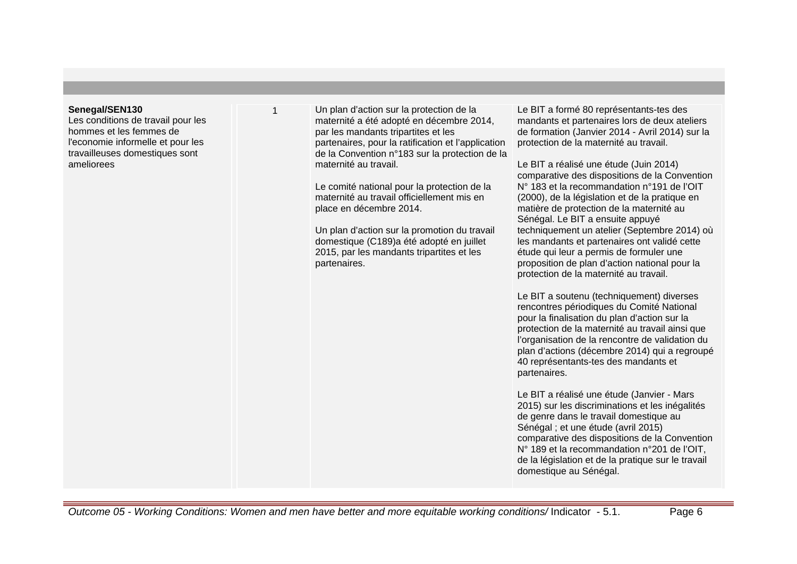## **Senegal/SEN130**

Les conditions de travail pour les hommes et les femmes de l'economie informelle et pour les travailleuses domestiques sont ameliorees

1 Un plan d'action sur la protection de la maternité a été adopté en décembre 2014, par les mandants tripartites et les partenaires, pour la ratification et l'application de la Convention n°183 sur la protection de la maternité au travail.

> Le comité national pour la protection de la maternité au travail officiellement mis en place en décembre 2014.

Un plan d'action sur la promotion du travail domestique (C189)a été adopté en juillet 2015, par les mandants tripartites et les partenaires.

Le BIT a formé 80 représentants-tes des mandants et partenaires lors de deux ateliers de formation (Janvier 2014 - Avril 2014) sur la protection de la maternité au travail.

Le BIT a réalisé une étude (Juin 2014) comparative des dispositions de la Convention N° 183 et la recommandation n°191 de l'OIT (2000), de la législation et de la pratique en matière de protection de la maternité au Sénégal. Le BIT a ensuite appuyé techniquement un atelier (Septembre 2014) où les mandants et partenaires ont validé cette étude qui leur a permis de formuler une proposition de plan d'action national pour la protection de la maternité au travail.

Le BIT a soutenu (techniquement) diverses rencontres périodiques du Comité National pour la finalisation du plan d'action sur la protection de la maternité au travail ainsi que l'organisation de la rencontre de validation du plan d'actions (décembre 2014) qui a regroupé 40 représentants-tes des mandants et partenaires.

Le BIT a réalisé une étude (Janvier - Mars 2015) sur les discriminations et les inégalités de genre dans le travail domestique au Sénégal ; et une étude (avril 2015) comparative des dispositions de la Convention N° 189 et la recommandation n°201 de l'OIT, de la législation et de la pratique sur le travail domestique au Sénégal.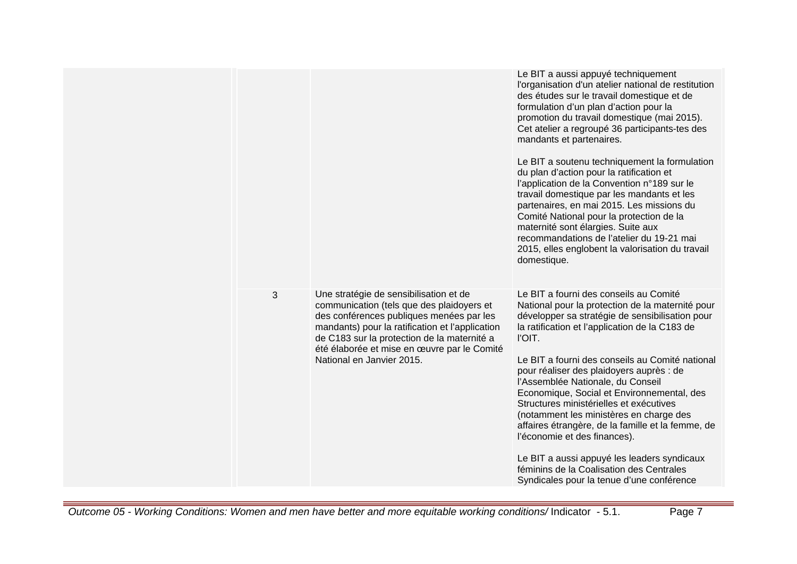|   |                                                                                                                                                                                                                                                                                                               | Le BIT a aussi appuyé techniquement<br>l'organisation d'un atelier national de restitution<br>des études sur le travail domestique et de<br>formulation d'un plan d'action pour la<br>promotion du travail domestique (mai 2015).<br>Cet atelier a regroupé 36 participants-tes des<br>mandants et partenaires.<br>Le BIT a soutenu techniquement la formulation<br>du plan d'action pour la ratification et<br>l'application de la Convention n°189 sur le<br>travail domestique par les mandants et les<br>partenaires, en mai 2015. Les missions du<br>Comité National pour la protection de la<br>maternité sont élargies. Suite aux<br>recommandations de l'atelier du 19-21 mai<br>2015, elles englobent la valorisation du travail<br>domestique. |
|---|---------------------------------------------------------------------------------------------------------------------------------------------------------------------------------------------------------------------------------------------------------------------------------------------------------------|----------------------------------------------------------------------------------------------------------------------------------------------------------------------------------------------------------------------------------------------------------------------------------------------------------------------------------------------------------------------------------------------------------------------------------------------------------------------------------------------------------------------------------------------------------------------------------------------------------------------------------------------------------------------------------------------------------------------------------------------------------|
| 3 | Une stratégie de sensibilisation et de<br>communication (tels que des plaidoyers et<br>des conférences publiques menées par les<br>mandants) pour la ratification et l'application<br>de C183 sur la protection de la maternité a<br>été élaborée et mise en œuvre par le Comité<br>National en Janvier 2015. | Le BIT a fourni des conseils au Comité<br>National pour la protection de la maternité pour<br>développer sa stratégie de sensibilisation pour<br>la ratification et l'application de la C183 de<br>l'OIT.<br>Le BIT a fourni des conseils au Comité national<br>pour réaliser des plaidoyers auprès : de<br>l'Assemblée Nationale, du Conseil<br>Economique, Social et Environnemental, des<br>Structures ministérielles et exécutives<br>(notamment les ministères en charge des<br>affaires étrangère, de la famille et la femme, de<br>l'économie et des finances).<br>Le BIT a aussi appuyé les leaders syndicaux<br>féminins de la Coalisation des Centrales<br>Syndicales pour la tenue d'une conférence                                           |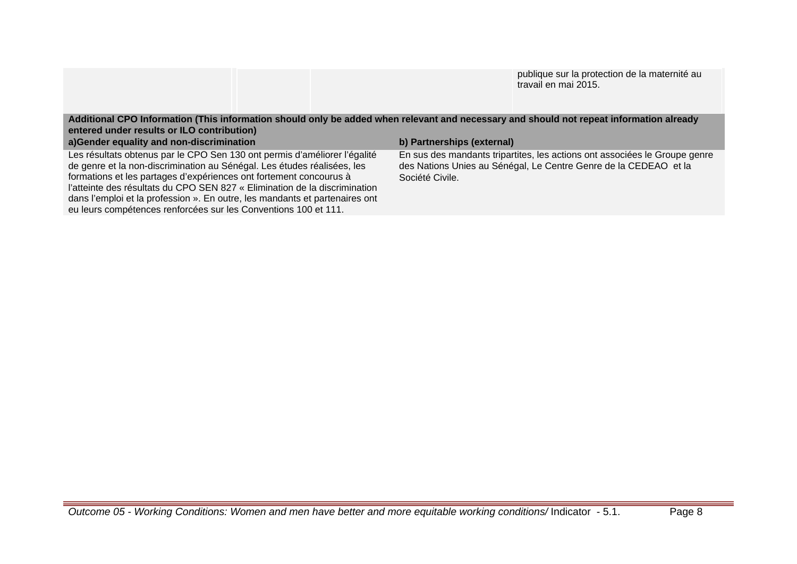publique sur la protection de la maternité au travail en mai 2015.

**Additional CPO Information (This information should only be added when relevant and necessary and should not repeat information already entered under results or ILO contribution)**

| a) Gender equality and non-discrimination                                   | b) Partnerships (external)                                                 |
|-----------------------------------------------------------------------------|----------------------------------------------------------------------------|
| Les résultats obtenus par le CPO Sen 130 ont permis d'améliorer l'égalité   | En sus des mandants tripartites, les actions ont associées le Groupe genre |
| de genre et la non-discrimination au Sénégal. Les études réalisées, les     | des Nations Unies au Sénégal, Le Centre Genre de la CEDEAO et la           |
| formations et les partages d'expériences ont fortement concourus à          | Société Civile.                                                            |
| l'atteinte des résultats du CPO SEN 827 « Elimination de la discrimination  |                                                                            |
| dans l'emploi et la profession ». En outre, les mandants et partenaires ont |                                                                            |
| eu leurs compétences renforcées sur les Conventions 100 et 111.             |                                                                            |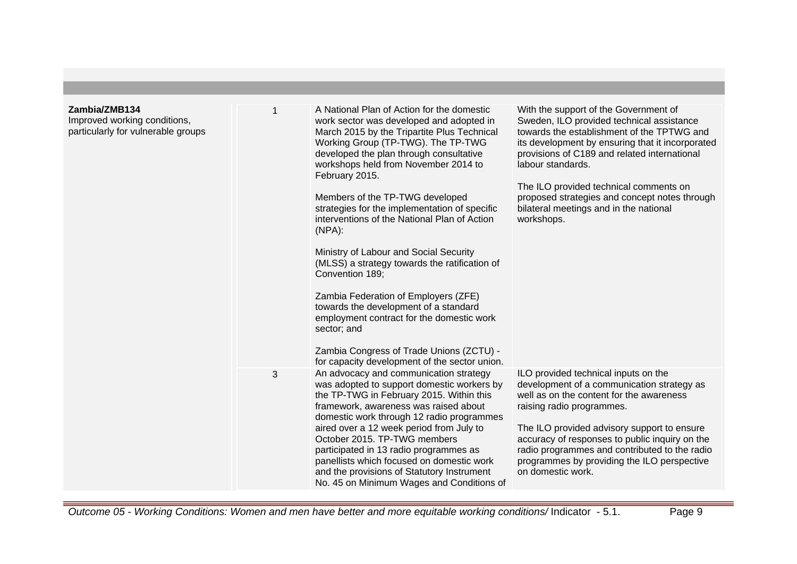| Zambia/ZMB134<br>Improved working conditions,<br>particularly for vulnerable groups |   | A National Plan of Action for the domestic<br>work sector was developed and adopted in<br>March 2015 by the Tripartite Plus Technical<br>Working Group (TP-TWG). The TP-TWG<br>developed the plan through consultative<br>workshops held from November 2014 to<br>February 2015.<br>Members of the TP-TWG developed<br>strategies for the implementation of specific<br>interventions of the National Plan of Action<br>$(NPA)$ :<br>Ministry of Labour and Social Security<br>(MLSS) a strategy towards the ratification of<br>Convention 189:<br>Zambia Federation of Employers (ZFE)<br>towards the development of a standard<br>employment contract for the domestic work<br>sector; and<br>Zambia Congress of Trade Unions (ZCTU) -<br>for capacity development of the sector union. | With the support of the Government of<br>Sweden, ILO provided technical assistance<br>towards the establishment of the TPTWG and<br>its development by ensuring that it incorporated<br>provisions of C189 and related international<br>labour standards.<br>The ILO provided technical comments on<br>proposed strategies and concept notes through<br>bilateral meetings and in the national<br>workshops. |
|-------------------------------------------------------------------------------------|---|-------------------------------------------------------------------------------------------------------------------------------------------------------------------------------------------------------------------------------------------------------------------------------------------------------------------------------------------------------------------------------------------------------------------------------------------------------------------------------------------------------------------------------------------------------------------------------------------------------------------------------------------------------------------------------------------------------------------------------------------------------------------------------------------|--------------------------------------------------------------------------------------------------------------------------------------------------------------------------------------------------------------------------------------------------------------------------------------------------------------------------------------------------------------------------------------------------------------|
|                                                                                     | 3 | An advocacy and communication strategy<br>was adopted to support domestic workers by<br>the TP-TWG in February 2015. Within this<br>framework, awareness was raised about<br>domestic work through 12 radio programmes<br>aired over a 12 week period from July to<br>October 2015. TP-TWG members<br>participated in 13 radio programmes as<br>panellists which focused on domestic work<br>and the provisions of Statutory Instrument<br>No. 45 on Minimum Wages and Conditions of                                                                                                                                                                                                                                                                                                      | ILO provided technical inputs on the<br>development of a communication strategy as<br>well as on the content for the awareness<br>raising radio programmes.<br>The ILO provided advisory support to ensure<br>accuracy of responses to public inquiry on the<br>radio programmes and contributed to the radio<br>programmes by providing the ILO perspective<br>on domestic work.                            |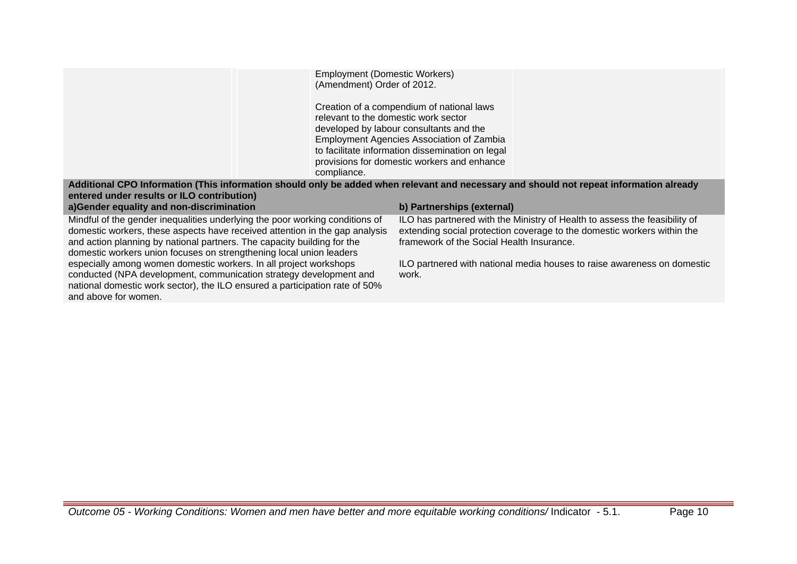|                                                                                                                                                                                                                                                                                                               | <b>Employment (Domestic Workers)</b><br>(Amendment) Order of 2012.<br>relevant to the domestic work sector<br>compliance. | Creation of a compendium of national laws<br>developed by labour consultants and the<br>Employment Agencies Association of Zambia<br>to facilitate information dissemination on legal<br>provisions for domestic workers and enhance |                                                                                                                                                       |
|---------------------------------------------------------------------------------------------------------------------------------------------------------------------------------------------------------------------------------------------------------------------------------------------------------------|---------------------------------------------------------------------------------------------------------------------------|--------------------------------------------------------------------------------------------------------------------------------------------------------------------------------------------------------------------------------------|-------------------------------------------------------------------------------------------------------------------------------------------------------|
| Additional CPO Information (This information should only be added when relevant and necessary and should not repeat information already<br>entered under results or ILO contribution)                                                                                                                         |                                                                                                                           |                                                                                                                                                                                                                                      |                                                                                                                                                       |
| a)Gender equality and non-discrimination                                                                                                                                                                                                                                                                      |                                                                                                                           | b) Partnerships (external)                                                                                                                                                                                                           |                                                                                                                                                       |
| Mindful of the gender inequalities underlying the poor working conditions of<br>domestic workers, these aspects have received attention in the gap analysis<br>and action planning by national partners. The capacity building for the<br>domestic workers union focuses on strengthening local union leaders |                                                                                                                           | framework of the Social Health Insurance.                                                                                                                                                                                            | ILO has partnered with the Ministry of Health to assess the feasibility of<br>extending social protection coverage to the domestic workers within the |
| especially among women domestic workers. In all project workshops<br>conducted (NPA development, communication strategy development and<br>national domestic work sector), the ILO ensured a participation rate of 50%<br>and above for women.                                                                |                                                                                                                           | work.                                                                                                                                                                                                                                | ILO partnered with national media houses to raise awareness on domestic                                                                               |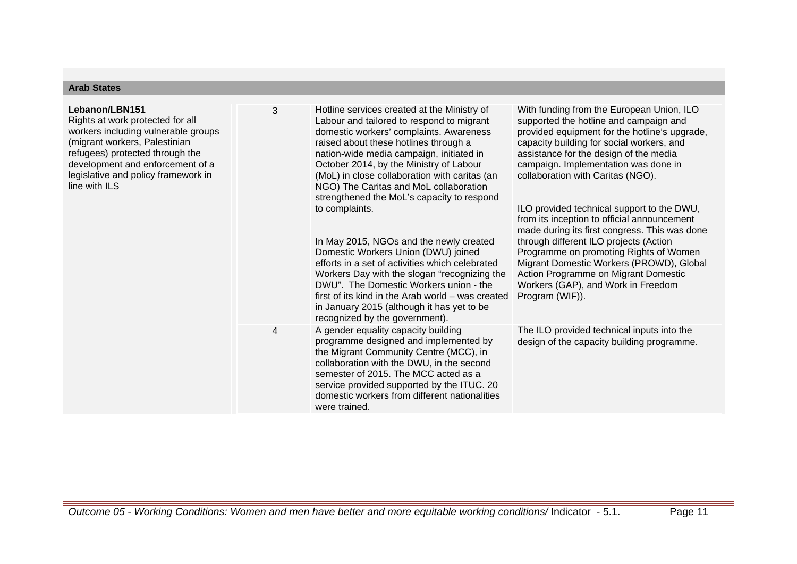| Lebanon/LBN151<br>Rights at work protected for all<br>workers including vulnerable groups<br>(migrant workers, Palestinian<br>refugees) protected through the<br>development and enforcement of a<br>legislative and policy framework in<br>line with ILS | 3 | Hotline services created at the Ministry of<br>Labour and tailored to respond to migrant<br>domestic workers' complaints. Awareness<br>raised about these hotlines through a<br>nation-wide media campaign, initiated in<br>October 2014, by the Ministry of Labour<br>(MoL) in close collaboration with caritas (an<br>NGO) The Caritas and MoL collaboration<br>strengthened the MoL's capacity to respond<br>to complaints.<br>In May 2015, NGOs and the newly created<br>Domestic Workers Union (DWU) joined<br>efforts in a set of activities which celebrated<br>Workers Day with the slogan "recognizing the<br>DWU". The Domestic Workers union - the<br>first of its kind in the Arab world – was created<br>in January 2015 (although it has yet to be<br>recognized by the government). | With funding from the European Union, ILO<br>supported the hotline and campaign and<br>provided equipment for the hotline's upgrade,<br>capacity building for social workers, and<br>assistance for the design of the media<br>campaign. Implementation was done in<br>collaboration with Caritas (NGO).<br>ILO provided technical support to the DWU,<br>from its inception to official announcement<br>made during its first congress. This was done<br>through different ILO projects (Action<br>Programme on promoting Rights of Women<br>Migrant Domestic Workers (PROWD), Global<br>Action Programme on Migrant Domestic<br>Workers (GAP), and Work in Freedom<br>Program (WIF)). |
|-----------------------------------------------------------------------------------------------------------------------------------------------------------------------------------------------------------------------------------------------------------|---|----------------------------------------------------------------------------------------------------------------------------------------------------------------------------------------------------------------------------------------------------------------------------------------------------------------------------------------------------------------------------------------------------------------------------------------------------------------------------------------------------------------------------------------------------------------------------------------------------------------------------------------------------------------------------------------------------------------------------------------------------------------------------------------------------|-----------------------------------------------------------------------------------------------------------------------------------------------------------------------------------------------------------------------------------------------------------------------------------------------------------------------------------------------------------------------------------------------------------------------------------------------------------------------------------------------------------------------------------------------------------------------------------------------------------------------------------------------------------------------------------------|
|                                                                                                                                                                                                                                                           | 4 | A gender equality capacity building<br>programme designed and implemented by<br>the Migrant Community Centre (MCC), in<br>collaboration with the DWU, in the second<br>semester of 2015. The MCC acted as a<br>service provided supported by the ITUC. 20<br>domestic workers from different nationalities<br>were trained.                                                                                                                                                                                                                                                                                                                                                                                                                                                                        | The ILO provided technical inputs into the<br>design of the capacity building programme.                                                                                                                                                                                                                                                                                                                                                                                                                                                                                                                                                                                                |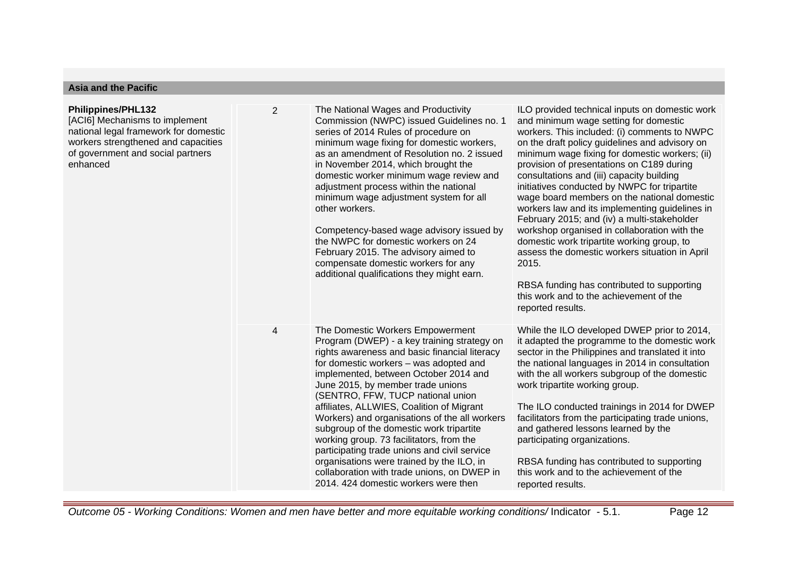| <b>Asia and the Pacific</b>                                                                                                                                                                  |   |                                                                                                                                                                                                                                                                                                                                                                                                                                                                                                                                                                                                                                                                         |                                                                                                                                                                                                                                                                                                                                                                                                                                                                                                                                                                                                                                                                                                                                                                                                              |  |
|----------------------------------------------------------------------------------------------------------------------------------------------------------------------------------------------|---|-------------------------------------------------------------------------------------------------------------------------------------------------------------------------------------------------------------------------------------------------------------------------------------------------------------------------------------------------------------------------------------------------------------------------------------------------------------------------------------------------------------------------------------------------------------------------------------------------------------------------------------------------------------------------|--------------------------------------------------------------------------------------------------------------------------------------------------------------------------------------------------------------------------------------------------------------------------------------------------------------------------------------------------------------------------------------------------------------------------------------------------------------------------------------------------------------------------------------------------------------------------------------------------------------------------------------------------------------------------------------------------------------------------------------------------------------------------------------------------------------|--|
| <b>Philippines/PHL132</b><br>[ACI6] Mechanisms to implement<br>national legal framework for domestic<br>workers strengthened and capacities<br>of government and social partners<br>enhanced | 2 | The National Wages and Productivity<br>Commission (NWPC) issued Guidelines no. 1<br>series of 2014 Rules of procedure on<br>minimum wage fixing for domestic workers,<br>as an amendment of Resolution no. 2 issued<br>in November 2014, which brought the<br>domestic worker minimum wage review and<br>adjustment process within the national<br>minimum wage adjustment system for all<br>other workers.<br>Competency-based wage advisory issued by<br>the NWPC for domestic workers on 24<br>February 2015. The advisory aimed to<br>compensate domestic workers for any<br>additional qualifications they might earn.                                             | ILO provided technical inputs on domestic work<br>and minimum wage setting for domestic<br>workers. This included: (i) comments to NWPC<br>on the draft policy guidelines and advisory on<br>minimum wage fixing for domestic workers; (ii)<br>provision of presentations on C189 during<br>consultations and (iii) capacity building<br>initiatives conducted by NWPC for tripartite<br>wage board members on the national domestic<br>workers law and its implementing guidelines in<br>February 2015; and (iv) a multi-stakeholder<br>workshop organised in collaboration with the<br>domestic work tripartite working group, to<br>assess the domestic workers situation in April<br>2015.<br>RBSA funding has contributed to supporting<br>this work and to the achievement of the<br>reported results. |  |
|                                                                                                                                                                                              | 4 | The Domestic Workers Empowerment<br>Program (DWEP) - a key training strategy on<br>rights awareness and basic financial literacy<br>for domestic workers - was adopted and<br>implemented, between October 2014 and<br>June 2015, by member trade unions<br>(SENTRO, FFW, TUCP national union<br>affiliates, ALLWIES, Coalition of Migrant<br>Workers) and organisations of the all workers<br>subgroup of the domestic work tripartite<br>working group. 73 facilitators, from the<br>participating trade unions and civil service<br>organisations were trained by the ILO, in<br>collaboration with trade unions, on DWEP in<br>2014. 424 domestic workers were then | While the ILO developed DWEP prior to 2014,<br>it adapted the programme to the domestic work<br>sector in the Philippines and translated it into<br>the national languages in 2014 in consultation<br>with the all workers subgroup of the domestic<br>work tripartite working group.<br>The ILO conducted trainings in 2014 for DWEP<br>facilitators from the participating trade unions,<br>and gathered lessons learned by the<br>participating organizations.<br>RBSA funding has contributed to supporting<br>this work and to the achievement of the<br>reported results.                                                                                                                                                                                                                              |  |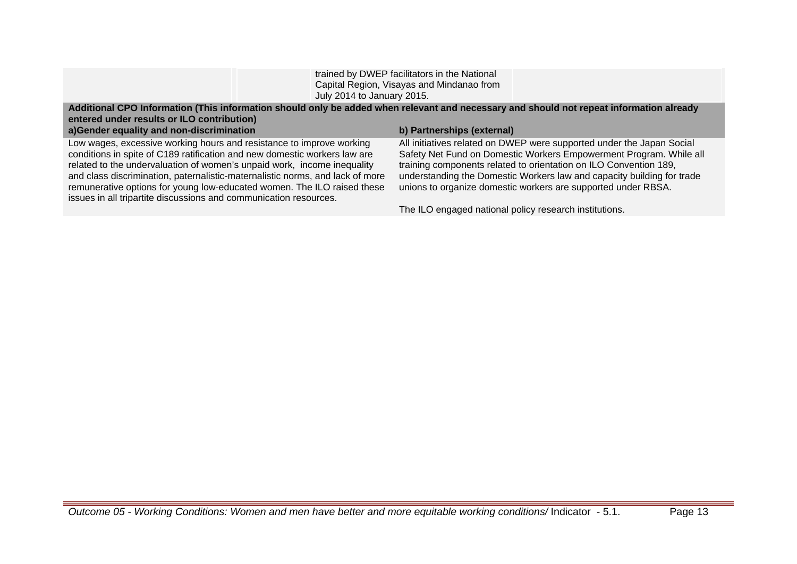| trained by DWEP facilitators in the National |
|----------------------------------------------|
| Capital Region, Visayas and Mindanao from    |
| July 2014 to January 2015.                   |

## **Additional CPO Information (This information should only be added when relevant and necessary and should not repeat information already entered under results or ILO contribution)**

## **a)Gender equality and non-discrimination b) Partnerships (external)**

Low wages, excessive working hours and resistance to improve working conditions in spite of C189 ratification and new domestic workers law are related to the undervaluation of women's unpaid work, income inequality and class discrimination, paternalistic-maternalistic norms, and lack of more remunerative options for young low-educated women. The ILO raised these issues in all tripartite discussions and communication resources.

All initiatives related on DWEP were supported under the Japan Social Safety Net Fund on Domestic Workers Empowerment Program. While all training components related to orientation on ILO Convention 189, understanding the Domestic Workers law and capacity building for trade unions to organize domestic workers are supported under RBSA.

The ILO engaged national policy research institutions.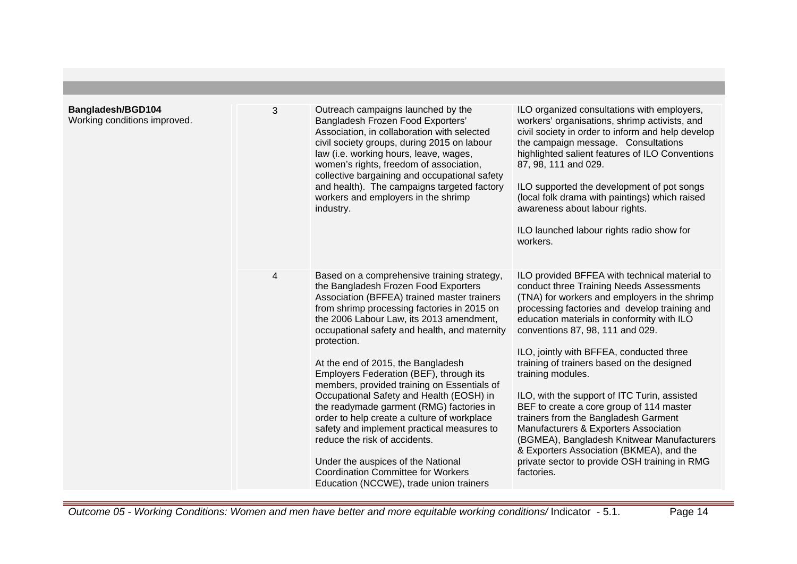| Bangladesh/BGD104<br>Working conditions improved. | 3 | Outreach campaigns launched by the<br>Bangladesh Frozen Food Exporters'<br>Association, in collaboration with selected<br>civil society groups, during 2015 on labour<br>law (i.e. working hours, leave, wages,<br>women's rights, freedom of association,<br>collective bargaining and occupational safety<br>and health). The campaigns targeted factory<br>workers and employers in the shrimp<br>industry.                                                                                                                                                                                                                                                                                                                                                                    | ILO organized consultations with employers,<br>workers' organisations, shrimp activists, and<br>civil society in order to inform and help develop<br>the campaign message. Consultations<br>highlighted salient features of ILO Conventions<br>87, 98, 111 and 029.<br>ILO supported the development of pot songs<br>(local folk drama with paintings) which raised<br>awareness about labour rights.<br>ILO launched labour rights radio show for<br>workers.                                                                                                                                                                                                                                                                     |
|---------------------------------------------------|---|-----------------------------------------------------------------------------------------------------------------------------------------------------------------------------------------------------------------------------------------------------------------------------------------------------------------------------------------------------------------------------------------------------------------------------------------------------------------------------------------------------------------------------------------------------------------------------------------------------------------------------------------------------------------------------------------------------------------------------------------------------------------------------------|------------------------------------------------------------------------------------------------------------------------------------------------------------------------------------------------------------------------------------------------------------------------------------------------------------------------------------------------------------------------------------------------------------------------------------------------------------------------------------------------------------------------------------------------------------------------------------------------------------------------------------------------------------------------------------------------------------------------------------|
|                                                   | 4 | Based on a comprehensive training strategy,<br>the Bangladesh Frozen Food Exporters<br>Association (BFFEA) trained master trainers<br>from shrimp processing factories in 2015 on<br>the 2006 Labour Law, its 2013 amendment,<br>occupational safety and health, and maternity<br>protection.<br>At the end of 2015, the Bangladesh<br>Employers Federation (BEF), through its<br>members, provided training on Essentials of<br>Occupational Safety and Health (EOSH) in<br>the readymade garment (RMG) factories in<br>order to help create a culture of workplace<br>safety and implement practical measures to<br>reduce the risk of accidents.<br>Under the auspices of the National<br><b>Coordination Committee for Workers</b><br>Education (NCCWE), trade union trainers | ILO provided BFFEA with technical material to<br>conduct three Training Needs Assessments<br>(TNA) for workers and employers in the shrimp<br>processing factories and develop training and<br>education materials in conformity with ILO<br>conventions 87, 98, 111 and 029.<br>ILO, jointly with BFFEA, conducted three<br>training of trainers based on the designed<br>training modules.<br>ILO, with the support of ITC Turin, assisted<br>BEF to create a core group of 114 master<br>trainers from the Bangladesh Garment<br>Manufacturers & Exporters Association<br>(BGMEA), Bangladesh Knitwear Manufacturers<br>& Exporters Association (BKMEA), and the<br>private sector to provide OSH training in RMG<br>factories. |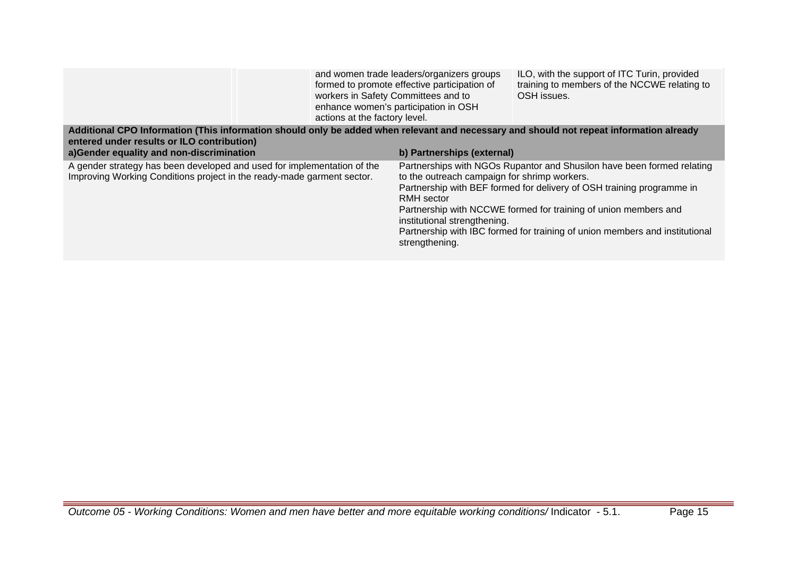|                                                                                                                                                                                                                                   | workers in Safety Committees and to<br>actions at the factory level. | and women trade leaders/organizers groups<br>formed to promote effective participation of<br>enhance women's participation in OSH | ILO, with the support of ITC Turin, provided<br>training to members of the NCCWE relating to<br>OSH issues.                                                                                                                                                                                       |
|-----------------------------------------------------------------------------------------------------------------------------------------------------------------------------------------------------------------------------------|----------------------------------------------------------------------|-----------------------------------------------------------------------------------------------------------------------------------|---------------------------------------------------------------------------------------------------------------------------------------------------------------------------------------------------------------------------------------------------------------------------------------------------|
| Additional CPO Information (This information should only be added when relevant and necessary and should not repeat information already<br>entered under results or ILO contribution)<br>a)Gender equality and non-discrimination |                                                                      | b) Partnerships (external)                                                                                                        |                                                                                                                                                                                                                                                                                                   |
| A gender strategy has been developed and used for implementation of the<br>Improving Working Conditions project in the ready-made garment sector.                                                                                 |                                                                      | to the outreach campaign for shrimp workers.<br>RMH sector<br>institutional strengthening.<br>strengthening.                      | Partnerships with NGOs Rupantor and Shusilon have been formed relating<br>Partnership with BEF formed for delivery of OSH training programme in<br>Partnership with NCCWE formed for training of union members and<br>Partnership with IBC formed for training of union members and institutional |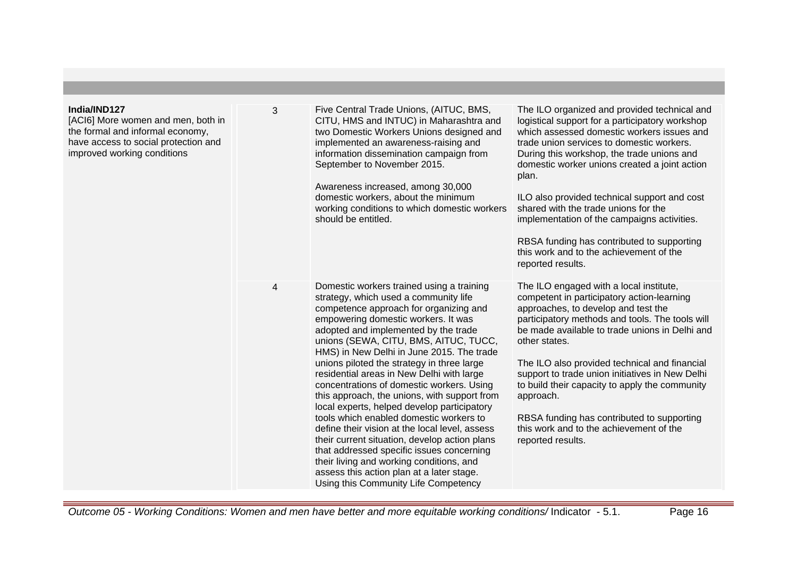| India/IND127<br>[ACI6] More women and men, both in<br>the formal and informal economy,<br>have access to social protection and<br>improved working conditions | 3 | Five Central Trade Unions, (AITUC, BMS,<br>CITU, HMS and INTUC) in Maharashtra and<br>two Domestic Workers Unions designed and<br>implemented an awareness-raising and<br>information dissemination campaign from<br>September to November 2015.<br>Awareness increased, among 30,000<br>domestic workers, about the minimum<br>working conditions to which domestic workers<br>should be entitled.                                                                                                                                                                                                                                                                                                                                                                                                                                                                  | The ILO organized and provided technical and<br>logistical support for a participatory workshop<br>which assessed domestic workers issues and<br>trade union services to domestic workers.<br>During this workshop, the trade unions and<br>domestic worker unions created a joint action<br>plan.<br>ILO also provided technical support and cost<br>shared with the trade unions for the<br>implementation of the campaigns activities.<br>RBSA funding has contributed to supporting<br>this work and to the achievement of the<br>reported results. |
|---------------------------------------------------------------------------------------------------------------------------------------------------------------|---|----------------------------------------------------------------------------------------------------------------------------------------------------------------------------------------------------------------------------------------------------------------------------------------------------------------------------------------------------------------------------------------------------------------------------------------------------------------------------------------------------------------------------------------------------------------------------------------------------------------------------------------------------------------------------------------------------------------------------------------------------------------------------------------------------------------------------------------------------------------------|---------------------------------------------------------------------------------------------------------------------------------------------------------------------------------------------------------------------------------------------------------------------------------------------------------------------------------------------------------------------------------------------------------------------------------------------------------------------------------------------------------------------------------------------------------|
|                                                                                                                                                               | 4 | Domestic workers trained using a training<br>strategy, which used a community life<br>competence approach for organizing and<br>empowering domestic workers. It was<br>adopted and implemented by the trade<br>unions (SEWA, CITU, BMS, AITUC, TUCC,<br>HMS) in New Delhi in June 2015. The trade<br>unions piloted the strategy in three large<br>residential areas in New Delhi with large<br>concentrations of domestic workers. Using<br>this approach, the unions, with support from<br>local experts, helped develop participatory<br>tools which enabled domestic workers to<br>define their vision at the local level, assess<br>their current situation, develop action plans<br>that addressed specific issues concerning<br>their living and working conditions, and<br>assess this action plan at a later stage.<br>Using this Community Life Competency | The ILO engaged with a local institute,<br>competent in participatory action-learning<br>approaches, to develop and test the<br>participatory methods and tools. The tools will<br>be made available to trade unions in Delhi and<br>other states.<br>The ILO also provided technical and financial<br>support to trade union initiatives in New Delhi<br>to build their capacity to apply the community<br>approach.<br>RBSA funding has contributed to supporting<br>this work and to the achievement of the<br>reported results.                     |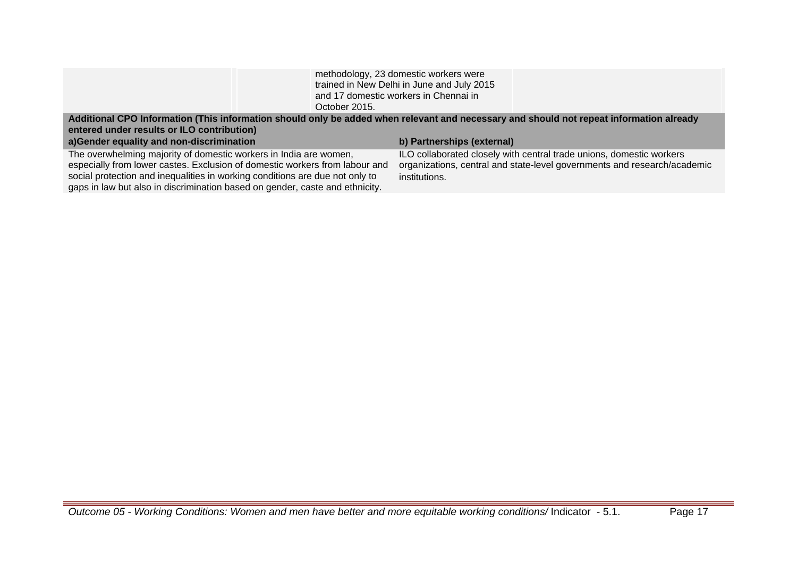| October 2015.                                                                                                                                                                                                                                                                                                    | methodology, 23 domestic workers were<br>trained in New Delhi in June and July 2015<br>and 17 domestic workers in Chennai in                                      |
|------------------------------------------------------------------------------------------------------------------------------------------------------------------------------------------------------------------------------------------------------------------------------------------------------------------|-------------------------------------------------------------------------------------------------------------------------------------------------------------------|
| Additional CPO Information (This information should only be added when relevant and necessary and should not repeat information already<br>entered under results or ILO contribution)<br>a)Gender equality and non-discrimination                                                                                | b) Partnerships (external)                                                                                                                                        |
| The overwhelming majority of domestic workers in India are women,<br>especially from lower castes. Exclusion of domestic workers from labour and<br>social protection and inequalities in working conditions are due not only to<br>gaps in law but also in discrimination based on gender, caste and ethnicity. | ILO collaborated closely with central trade unions, domestic workers<br>organizations, central and state-level governments and research/academic<br>institutions. |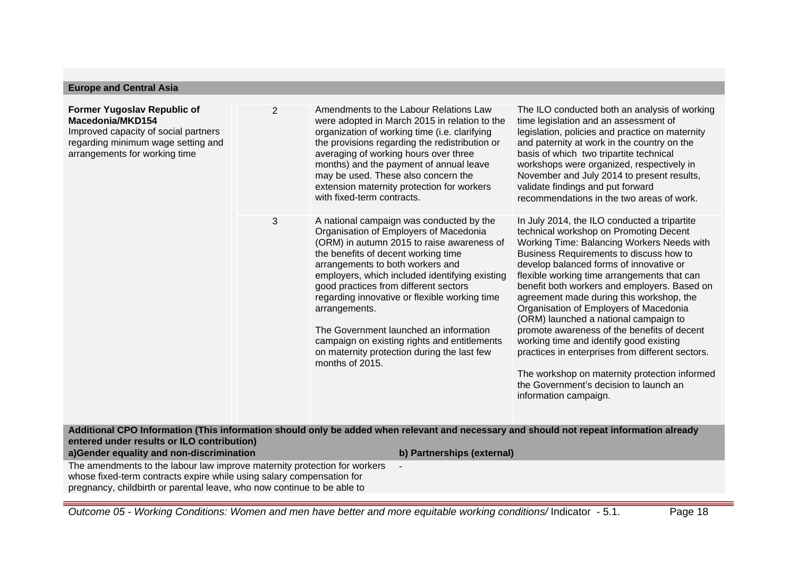| <b>Europe and Central Asia</b>                                                                                                                                        |                |                                                                                                                                                                                                                                                                                                                                                                                                                                                                                                                                      |                                                                                                                                                                                                                                                                                                                                                                                                                                                                                                                                                                                                                                                                                                                            |
|-----------------------------------------------------------------------------------------------------------------------------------------------------------------------|----------------|--------------------------------------------------------------------------------------------------------------------------------------------------------------------------------------------------------------------------------------------------------------------------------------------------------------------------------------------------------------------------------------------------------------------------------------------------------------------------------------------------------------------------------------|----------------------------------------------------------------------------------------------------------------------------------------------------------------------------------------------------------------------------------------------------------------------------------------------------------------------------------------------------------------------------------------------------------------------------------------------------------------------------------------------------------------------------------------------------------------------------------------------------------------------------------------------------------------------------------------------------------------------------|
| <b>Former Yugoslav Republic of</b><br>Macedonia/MKD154<br>Improved capacity of social partners<br>regarding minimum wage setting and<br>arrangements for working time | $\overline{2}$ | Amendments to the Labour Relations Law<br>were adopted in March 2015 in relation to the<br>organization of working time (i.e. clarifying<br>the provisions regarding the redistribution or<br>averaging of working hours over three<br>months) and the payment of annual leave<br>may be used. These also concern the<br>extension maternity protection for workers<br>with fixed-term contracts.                                                                                                                                    | The ILO conducted both an analysis of working<br>time legislation and an assessment of<br>legislation, policies and practice on maternity<br>and paternity at work in the country on the<br>basis of which two tripartite technical<br>workshops were organized, respectively in<br>November and July 2014 to present results,<br>validate findings and put forward<br>recommendations in the two areas of work.                                                                                                                                                                                                                                                                                                           |
|                                                                                                                                                                       | 3              | A national campaign was conducted by the<br>Organisation of Employers of Macedonia<br>(ORM) in autumn 2015 to raise awareness of<br>the benefits of decent working time<br>arrangements to both workers and<br>employers, which included identifying existing<br>good practices from different sectors<br>regarding innovative or flexible working time<br>arrangements.<br>The Government launched an information<br>campaign on existing rights and entitlements<br>on maternity protection during the last few<br>months of 2015. | In July 2014, the ILO conducted a tripartite<br>technical workshop on Promoting Decent<br>Working Time: Balancing Workers Needs with<br>Business Requirements to discuss how to<br>develop balanced forms of innovative or<br>flexible working time arrangements that can<br>benefit both workers and employers. Based on<br>agreement made during this workshop, the<br>Organisation of Employers of Macedonia<br>(ORM) launched a national campaign to<br>promote awareness of the benefits of decent<br>working time and identify good existing<br>practices in enterprises from different sectors.<br>The workshop on maternity protection informed<br>the Government's decision to launch an<br>information campaign. |
| entered under results or ILO contribution)<br>a)Gender equality and non-discrimination                                                                                |                | Additional CPO Information (This information should only be added when relevant and necessary and should not repeat information already<br>b) Partnerships (external)                                                                                                                                                                                                                                                                                                                                                                |                                                                                                                                                                                                                                                                                                                                                                                                                                                                                                                                                                                                                                                                                                                            |
| The amendments to the labour law improve maternity protection for workers                                                                                             |                |                                                                                                                                                                                                                                                                                                                                                                                                                                                                                                                                      |                                                                                                                                                                                                                                                                                                                                                                                                                                                                                                                                                                                                                                                                                                                            |
| whose fixed-term contracts expire while using salary compensation for<br>pregnancy, childbirth or parental leave, who now continue to be able to                      |                |                                                                                                                                                                                                                                                                                                                                                                                                                                                                                                                                      |                                                                                                                                                                                                                                                                                                                                                                                                                                                                                                                                                                                                                                                                                                                            |

Outcome 05 - Working Conditions: Women and men have better and more equitable working conditions/ Indicator - 5.1. Page 18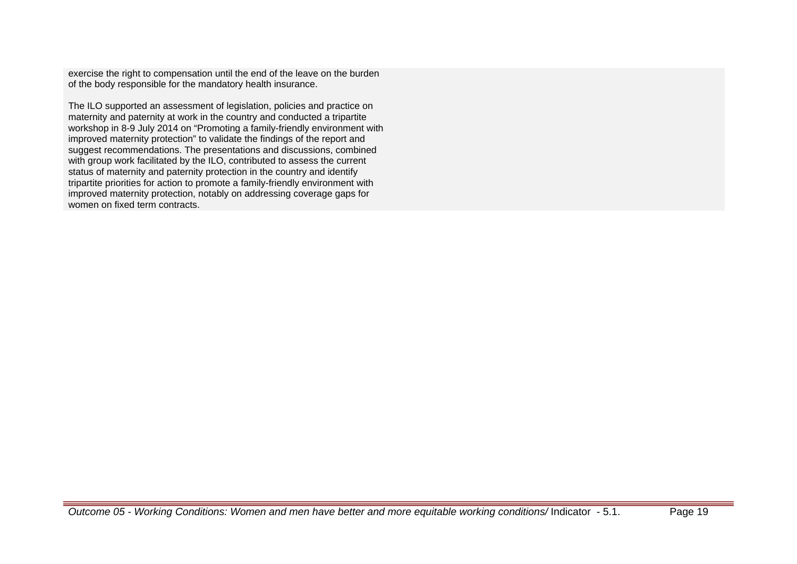exercise the right to compensation until the end of the leave on the burden of the body responsible for the mandatory health insurance.

The ILO supported an assessment of legislation, policies and practice on maternity and paternity at work in the country and conducted a tripartite workshop in 8-9 July 2014 on "Promoting a family-friendly environment with improved maternity protection" to validate the findings of the report and suggest recommendations. The presentations and discussions, combined with group work facilitated by the ILO, contributed to assess the current status of maternity and paternity protection in the country and identify tripartite priorities for action to promote a family-friendly environment with improved maternity protection, notably on addressing coverage gaps for women on fixed term contracts.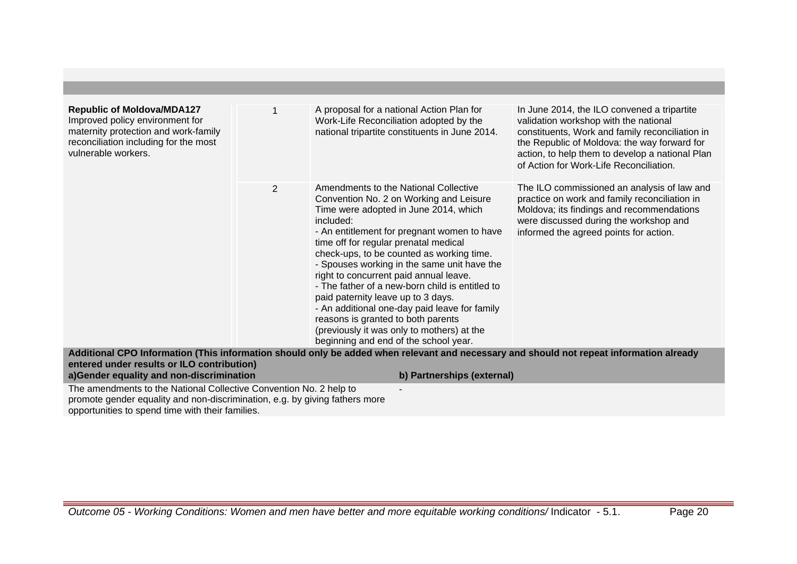| <b>Republic of Moldova/MDA127</b><br>Improved policy environment for<br>maternity protection and work-family<br>reconciliation including for the most<br>vulnerable workers. |   | A proposal for a national Action Plan for<br>Work-Life Reconciliation adopted by the<br>national tripartite constituents in June 2014.                                                                                                                                                                                                                                                                                                                                                                                                                                                                                                      | In June 2014, the ILO convened a tripartite<br>validation workshop with the national<br>constituents, Work and family reconciliation in<br>the Republic of Moldova: the way forward for<br>action, to help them to develop a national Plan<br>of Action for Work-Life Reconciliation. |
|------------------------------------------------------------------------------------------------------------------------------------------------------------------------------|---|---------------------------------------------------------------------------------------------------------------------------------------------------------------------------------------------------------------------------------------------------------------------------------------------------------------------------------------------------------------------------------------------------------------------------------------------------------------------------------------------------------------------------------------------------------------------------------------------------------------------------------------------|---------------------------------------------------------------------------------------------------------------------------------------------------------------------------------------------------------------------------------------------------------------------------------------|
|                                                                                                                                                                              | 2 | Amendments to the National Collective<br>Convention No. 2 on Working and Leisure<br>Time were adopted in June 2014, which<br>included:<br>- An entitlement for pregnant women to have<br>time off for regular prenatal medical<br>check-ups, to be counted as working time.<br>- Spouses working in the same unit have the<br>right to concurrent paid annual leave.<br>- The father of a new-born child is entitled to<br>paid paternity leave up to 3 days.<br>- An additional one-day paid leave for family<br>reasons is granted to both parents<br>(previously it was only to mothers) at the<br>beginning and end of the school year. | The ILO commissioned an analysis of law and<br>practice on work and family reconciliation in<br>Moldova; its findings and recommendations<br>were discussed during the workshop and<br>informed the agreed points for action.                                                         |
| entered under results or ILO contribution)                                                                                                                                   |   | Additional CPO Information (This information should only be added when relevant and necessary and should not repeat information already                                                                                                                                                                                                                                                                                                                                                                                                                                                                                                     |                                                                                                                                                                                                                                                                                       |
| a)Gender equality and non-discrimination                                                                                                                                     |   | b) Partnerships (external)                                                                                                                                                                                                                                                                                                                                                                                                                                                                                                                                                                                                                  |                                                                                                                                                                                                                                                                                       |

-

The amendments to the National Collective Convention No. 2 help to promote gender equality and non-discrimination, e.g. by giving fathers more opportunities to spend time with their families.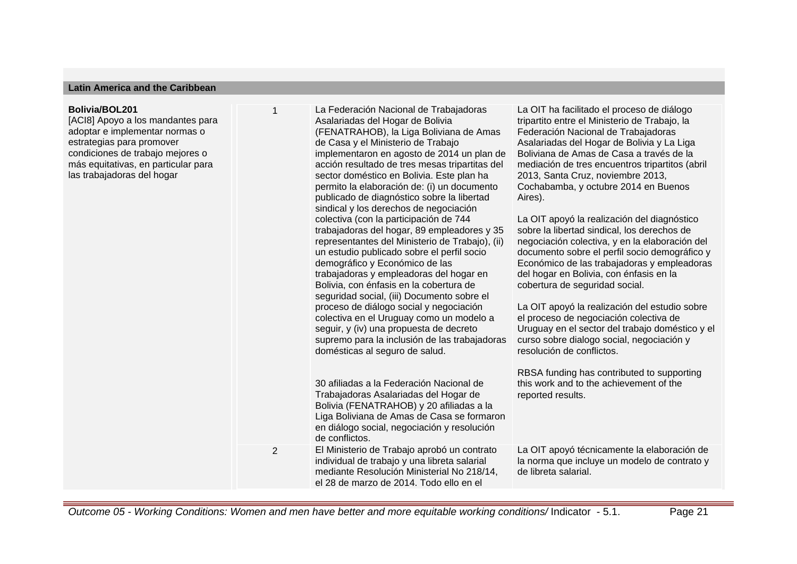#### **Latin America and the Caribbean**

#### **Bolivia/BOL201**

[ACI8] Apoyo a los mandantes para adoptar e implementar normas o estrategias para promover condiciones de trabajo mejores o más equitativas, en particular para las trabajadoras del hogar

1 La Federación Nacional de Trabajadoras Asalariadas del Hogar de Bolivia (FENATRAHOB), la Liga Boliviana de Amas de Casa y el Ministerio de Trabajo implementaron en agosto de 2014 un plan de acción resultado de tres mesas tripartitas del sector doméstico en Bolivia. Este plan ha permito la elaboración de: (i) un documento publicado de diagnóstico sobre la libertad sindical y los derechos de negociación colectiva (con la participación de 744 trabajadoras del hogar, 89 empleadores y 35 representantes del Ministerio de Trabajo), (ii) un estudio publicado sobre el perfil socio demográfico y Económico de las trabajadoras y empleadoras del hogar en Bolivia, con énfasis en la cobertura de seguridad social, (iii) Documento sobre el proceso de diálogo social y negociación colectiva en el Uruguay como un modelo a seguir, y (iv) una propuesta de decreto supremo para la inclusión de las trabajadoras domésticas al seguro de salud. 30 afiliadas a la Federación Nacional de

Trabajadoras Asalariadas del Hogar de Bolivia (FENATRAHOB) y 20 afiliadas a la Liga Boliviana de Amas de Casa se formaron en diálogo social, negociación y resolución de conflictos. 2 El Ministerio de Trabajo aprobó un contrato individual de trabajo y una libreta salarial mediante Resolución Ministerial No 218/14,

el 28 de marzo de 2014. Todo ello en el

La OIT ha facilitado el proceso de diálogo tripartito entre el Ministerio de Trabajo, la Federación Nacional de Trabajadoras Asalariadas del Hogar de Bolivia y La Liga Boliviana de Amas de Casa a través de la mediación de tres encuentros tripartitos (abril 2013, Santa Cruz, noviembre 2013, Cochabamba, y octubre 2014 en Buenos Aires).

La OIT apoyó la realización del diagnóstico sobre la libertad sindical, los derechos de negociación colectiva, y en la elaboración del documento sobre el perfil socio demográfico y Económico de las trabajadoras y empleadoras del hogar en Bolivia, con énfasis en la cobertura de seguridad social.

La OIT apoyó la realización del estudio sobre el proceso de negociación colectiva de Uruguay en el sector del trabajo doméstico y el curso sobre dialogo social, negociación y resolución de conflictos.

RBSA funding has contributed to supporting this work and to the achievement of the reported results.

La OIT apoyó técnicamente la elaboración de la norma que incluye un modelo de contrato y de libreta salarial.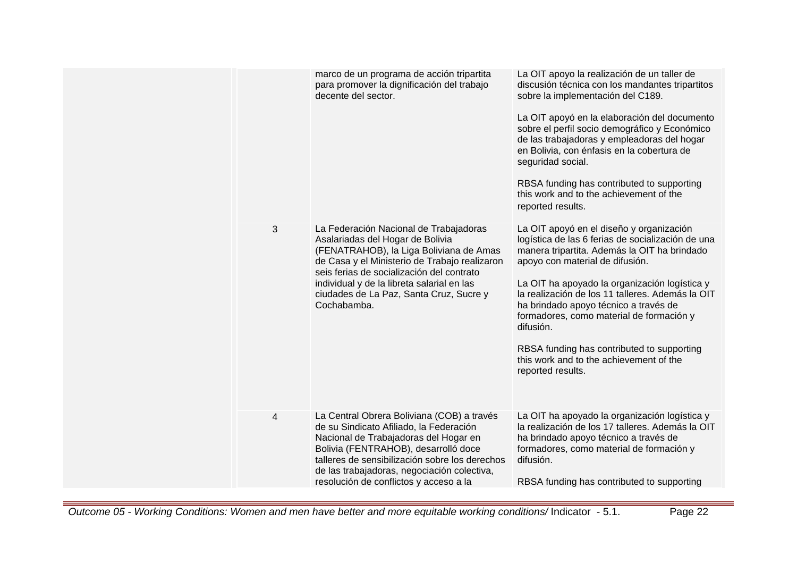|   | marco de un programa de acción tripartita<br>para promover la dignificación del trabajo<br>decente del sector.                                                                                                                                                                                                              | La OIT apoyo la realización de un taller de<br>discusión técnica con los mandantes tripartitos<br>sobre la implementación del C189.<br>La OIT apoyó en la elaboración del documento<br>sobre el perfil socio demográfico y Económico<br>de las trabajadoras y empleadoras del hogar<br>en Bolivia, con énfasis en la cobertura de<br>seguridad social.<br>RBSA funding has contributed to supporting<br>this work and to the achievement of the<br>reported results.                                  |
|---|-----------------------------------------------------------------------------------------------------------------------------------------------------------------------------------------------------------------------------------------------------------------------------------------------------------------------------|-------------------------------------------------------------------------------------------------------------------------------------------------------------------------------------------------------------------------------------------------------------------------------------------------------------------------------------------------------------------------------------------------------------------------------------------------------------------------------------------------------|
| 3 | La Federación Nacional de Trabajadoras<br>Asalariadas del Hogar de Bolivia<br>(FENATRAHOB), la Liga Boliviana de Amas<br>de Casa y el Ministerio de Trabajo realizaron<br>seis ferias de socialización del contrato<br>individual y de la libreta salarial en las<br>ciudades de La Paz, Santa Cruz, Sucre y<br>Cochabamba. | La OIT apoyó en el diseño y organización<br>logística de las 6 ferias de socialización de una<br>manera tripartita. Además la OIT ha brindado<br>apoyo con material de difusión.<br>La OIT ha apoyado la organización logística y<br>la realización de los 11 talleres. Además la OIT<br>ha brindado apoyo técnico a través de<br>formadores, como material de formación y<br>difusión.<br>RBSA funding has contributed to supporting<br>this work and to the achievement of the<br>reported results. |
| 4 | La Central Obrera Boliviana (COB) a través<br>de su Sindicato Afiliado, la Federación<br>Nacional de Trabajadoras del Hogar en<br>Bolivia (FENTRAHOB), desarrolló doce<br>talleres de sensibilización sobre los derechos<br>de las trabajadoras, negociación colectiva,<br>resolución de conflictos y acceso a la           | La OIT ha apoyado la organización logística y<br>la realización de los 17 talleres. Además la OIT<br>ha brindado apoyo técnico a través de<br>formadores, como material de formación y<br>difusión.<br>RBSA funding has contributed to supporting                                                                                                                                                                                                                                                     |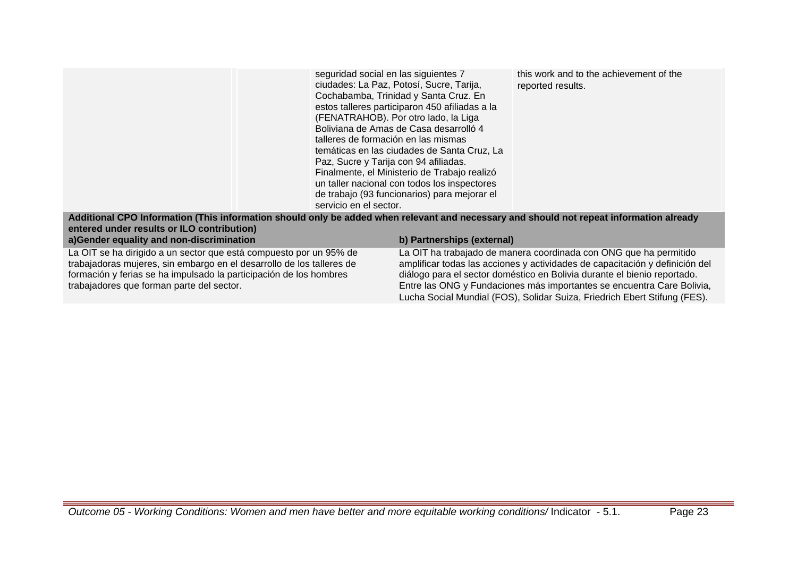|                                                                                                                                         | seguridad social en las siguientes 7<br>talleres de formación en las mismas<br>Paz, Sucre y Tarija con 94 afiliadas. | ciudades: La Paz, Potosí, Sucre, Tarija,<br>Cochabamba, Trinidad y Santa Cruz. En<br>estos talleres participaron 450 afiliadas a la<br>(FENATRAHOB). Por otro lado, la Liga<br>Boliviana de Amas de Casa desarrolló 4<br>temáticas en las ciudades de Santa Cruz, La<br>Finalmente, el Ministerio de Trabajo realizó<br>un taller nacional con todos los inspectores | this work and to the achievement of the<br>reported results.      |
|-----------------------------------------------------------------------------------------------------------------------------------------|----------------------------------------------------------------------------------------------------------------------|----------------------------------------------------------------------------------------------------------------------------------------------------------------------------------------------------------------------------------------------------------------------------------------------------------------------------------------------------------------------|-------------------------------------------------------------------|
|                                                                                                                                         | servicio en el sector.                                                                                               | de trabajo (93 funcionarios) para mejorar el                                                                                                                                                                                                                                                                                                                         |                                                                   |
| Additional CPO Information (This information should only be added when relevant and necessary and should not repeat information already |                                                                                                                      |                                                                                                                                                                                                                                                                                                                                                                      |                                                                   |
| entered under results or ILO contribution)                                                                                              |                                                                                                                      |                                                                                                                                                                                                                                                                                                                                                                      |                                                                   |
| a)Gender equality and non-discrimination                                                                                                |                                                                                                                      | b) Partnerships (external)                                                                                                                                                                                                                                                                                                                                           |                                                                   |
| La OIT se ha dirigido a un sector que está compuesto por un 95% de                                                                      |                                                                                                                      |                                                                                                                                                                                                                                                                                                                                                                      | La OIT ha trabajado de manera coordinada con ONG que ha permitido |

trabajadoras mujeres, sin embargo en el desarrollo de los talleres de formación y ferias se ha impulsado la participación de los hombres trabajadores que forman parte del sector.

La OIT ha trabajado de manera coordinada con ONG que ha permitido amplificar todas las acciones y actividades de capacitación y definición del diálogo para el sector doméstico en Bolivia durante el bienio reportado. Entre las ONG y Fundaciones más importantes se encuentra Care Bolivia, Lucha Social Mundial (FOS), Solidar Suiza, Friedrich Ebert Stifung (FES).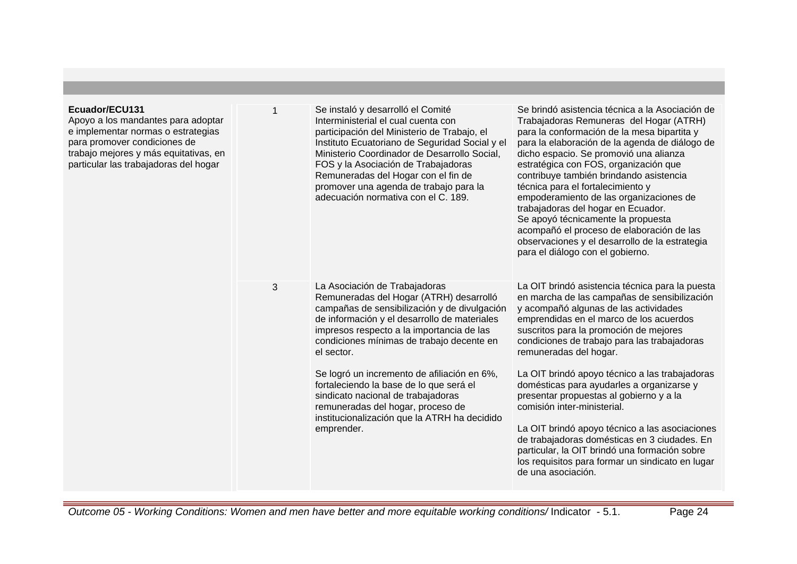| Ecuador/ECU131<br>Apoyo a los mandantes para adoptar<br>e implementar normas o estrategias<br>para promover condiciones de<br>trabajo mejores y más equitativas, en<br>particular las trabajadoras del hogar |   | Se instaló y desarrolló el Comité<br>Interministerial el cual cuenta con<br>participación del Ministerio de Trabajo, el<br>Instituto Ecuatoriano de Seguridad Social y el<br>Ministerio Coordinador de Desarrollo Social,<br>FOS y la Asociación de Trabajadoras<br>Remuneradas del Hogar con el fin de<br>promover una agenda de trabajo para la<br>adecuación normativa con el C. 189.                                                                                                                            | Se brindó asistencia técnica a la Asociación de<br>Trabajadoras Remuneras del Hogar (ATRH)<br>para la conformación de la mesa bipartita y<br>para la elaboración de la agenda de diálogo de<br>dicho espacio. Se promovió una alianza<br>estratégica con FOS, organización que<br>contribuye también brindando asistencia<br>técnica para el fortalecimiento y<br>empoderamiento de las organizaciones de<br>trabajadoras del hogar en Ecuador.<br>Se apoyó técnicamente la propuesta<br>acompañó el proceso de elaboración de las<br>observaciones y el desarrollo de la estrategia<br>para el diálogo con el gobierno.                                                                                      |
|--------------------------------------------------------------------------------------------------------------------------------------------------------------------------------------------------------------|---|---------------------------------------------------------------------------------------------------------------------------------------------------------------------------------------------------------------------------------------------------------------------------------------------------------------------------------------------------------------------------------------------------------------------------------------------------------------------------------------------------------------------|---------------------------------------------------------------------------------------------------------------------------------------------------------------------------------------------------------------------------------------------------------------------------------------------------------------------------------------------------------------------------------------------------------------------------------------------------------------------------------------------------------------------------------------------------------------------------------------------------------------------------------------------------------------------------------------------------------------|
|                                                                                                                                                                                                              | 3 | La Asociación de Trabajadoras<br>Remuneradas del Hogar (ATRH) desarrolló<br>campañas de sensibilización y de divulgación<br>de información y el desarrollo de materiales<br>impresos respecto a la importancia de las<br>condiciones mínimas de trabajo decente en<br>el sector.<br>Se logró un incremento de afiliación en 6%,<br>fortaleciendo la base de lo que será el<br>sindicato nacional de trabajadoras<br>remuneradas del hogar, proceso de<br>institucionalización que la ATRH ha decidido<br>emprender. | La OIT brindó asistencia técnica para la puesta<br>en marcha de las campañas de sensibilización<br>y acompañó algunas de las actividades<br>emprendidas en el marco de los acuerdos<br>suscritos para la promoción de mejores<br>condiciones de trabajo para las trabajadoras<br>remuneradas del hogar.<br>La OIT brindó apoyo técnico a las trabajadoras<br>domésticas para ayudarles a organizarse y<br>presentar propuestas al gobierno y a la<br>comisión inter-ministerial.<br>La OIT brindó apoyo técnico a las asociaciones<br>de trabajadoras domésticas en 3 ciudades. En<br>particular, la OIT brindó una formación sobre<br>los requisitos para formar un sindicato en lugar<br>de una asociación. |

Outcome 05 - Working Conditions: Women and men have better and more equitable working conditions/ Indicator - 5.1. Page 24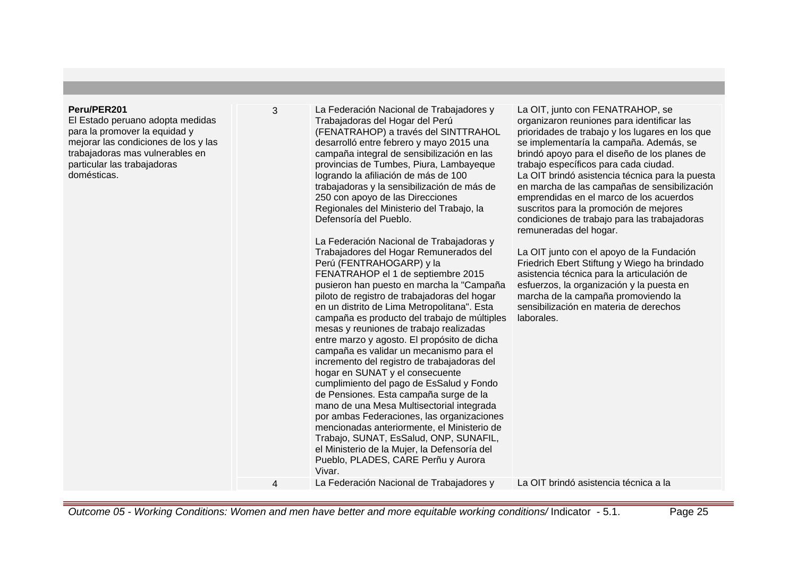#### **Peru/PER201**

El Estado peruano adopta medidas para la promover la equidad y mejorar las condiciones de los y las trabajadoras mas vulnerables en particular las trabajadoras domésticas.

3 La Federación Nacional de Trabajadores y Trabajadoras del Hogar del Perú (FENATRAHOP) a través del SINTTRAHOL desarrolló entre febrero y mayo 2015 una campaña integral de sensibilización en las provincias de Tumbes, Piura, Lambayeque logrando la afiliación de más de 100 trabajadoras y la sensibilización de más de 250 con apoyo de las Direcciones Regionales del Ministerio del Trabajo, la Defensoría del Pueblo.

> La Federación Nacional de Trabajadoras y Trabajadores del Hogar Remunerados del

FENATRAHOP el 1 de septiembre 2015 pusieron han puesto en marcha la "Campaña piloto de registro de trabajadoras del hogar en un distrito de Lima Metropolitana". Esta campaña es producto del trabajo de múltiples mesas y reuniones de trabajo realizadas entre marzo y agosto. El propósito de dicha campaña es validar un mecanismo para el incremento del registro de trabajadoras del

hogar en SUNAT y el consecuente

cumplimiento del pago de EsSalud y Fondo de Pensiones. Esta campaña surge de la mano de una Mesa Multisectorial integrada por ambas Federaciones, las organizaciones mencionadas anteriormente, el Ministerio de Trabajo, SUNAT, EsSalud, ONP, SUNAFIL, el Ministerio de la Mujer, la Defensoría del Pueblo, PLADES, CARE Perñu y Aurora

4 La Federación Nacional de Trabajadores y La OIT brindó asistencia técnica a la

Perú (FENTRAHOGARP) y la

La OIT, junto con FENATRAHOP, se organizaron reuniones para identificar las prioridades de trabajo y los lugares en los que se implementaría la campaña. Además, se brindó apoyo para el diseño de los planes de trabajo específicos para cada ciudad. La OIT brindó asistencia técnica para la puesta en marcha de las campañas de sensibilización emprendidas en el marco de los acuerdos suscritos para la promoción de mejores condiciones de trabajo para las trabajadoras remuneradas del hogar.

La OIT junto con el apoyo de la Fundación Friedrich Ebert Stiftung y Wiego ha brindado asistencia técnica para la articulación de esfuerzos, la organización y la puesta en marcha de la campaña promoviendo la sensibilización en materia de derechos laborales.

| Outcome 05 - Working Conditions: Women and men have better and more equitable working conditions/Indicator - 5.1. | Page 25 |
|-------------------------------------------------------------------------------------------------------------------|---------|
|-------------------------------------------------------------------------------------------------------------------|---------|

Vivar.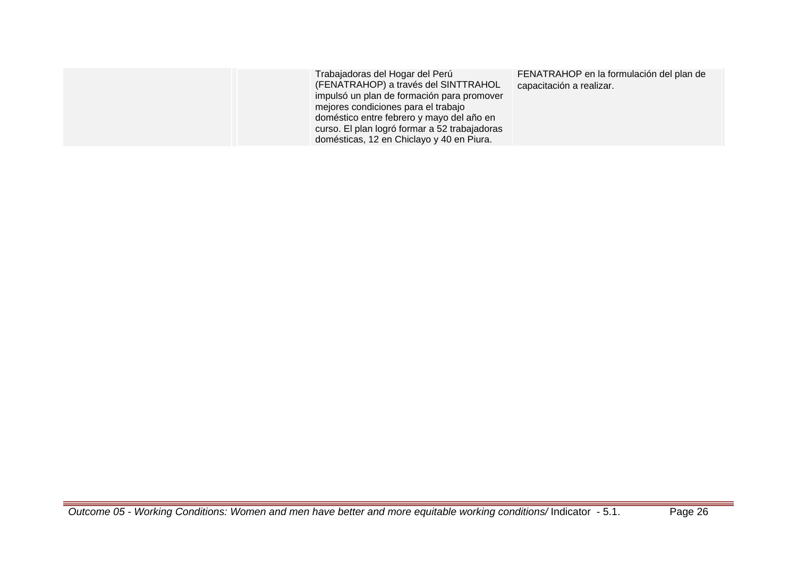| Trabajadoras del Hogar del Perú<br>(FENATRAHOP) a través del SINTTRAHOL<br>impulsó un plan de formación para promover<br>mejores condiciones para el trabajo<br>doméstico entre febrero y mayo del año en<br>curso. El plan logró formar a 52 trabajadoras<br>domésticas, 12 en Chiclayo y 40 en Piura. | FENATRAHOP en la formulación del plan de<br>capacitación a realizar. |
|---------------------------------------------------------------------------------------------------------------------------------------------------------------------------------------------------------------------------------------------------------------------------------------------------------|----------------------------------------------------------------------|
|---------------------------------------------------------------------------------------------------------------------------------------------------------------------------------------------------------------------------------------------------------------------------------------------------------|----------------------------------------------------------------------|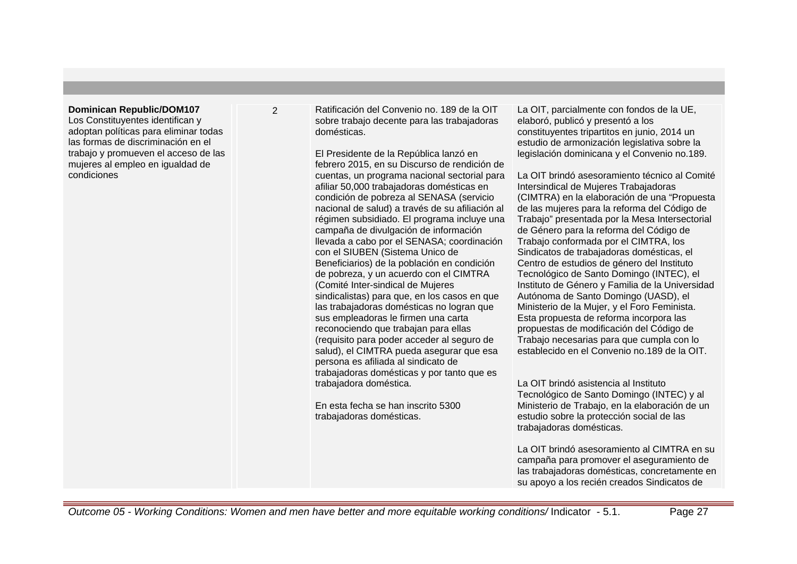#### **Dominican Republic/DOM107**

Los Constituyentes identifican y adoptan políticas para eliminar todas las formas de discriminación en el trabajo y promueven el acceso de las mujeres al empleo en igualdad de condiciones

2 Ratificación del Convenio no. 189 de la OIT sobre trabajo decente para las trabajadoras domésticas.

> El Presidente de la República lanzó en febrero 2015, en su Discurso de rendición de cuentas, un programa nacional sectorial para afiliar 50,000 trabajadoras domésticas en condición de pobreza al SENASA (servicio nacional de salud) a través de su afiliación al régimen subsidiado. El programa incluye una campaña de divulgación de información llevada a cabo por el SENASA; coordinación con el SIUBEN (Sistema Unico de Beneficiarios) de la población en condición de pobreza, y un acuerdo con el CIMTRA (Comité Inter-sindical de Mujeres sindicalistas) para que, en los casos en que las trabajadoras domésticas no logran que sus empleadoras le firmen una carta reconociendo que trabajan para ellas (requisito para poder acceder al seguro de salud), el CIMTRA pueda asegurar que esa persona es afiliada al sindicato de trabajadoras domésticas y por tanto que es trabajadora doméstica.

En esta fecha se han inscrito 5300 trabajadoras domésticas.

La OIT, parcialmente con fondos de la UE, elaboró, publicó y presentó a los constituyentes tripartitos en junio, 2014 un estudio de armonización legislativa sobre la legislación dominicana y el Convenio no.189.

La OIT brindó asesoramiento técnico al Comité Intersindical de Mujeres Trabajadoras (CIMTRA) en la elaboración de una "Propuesta de las mujeres para la reforma del Código de Trabajo" presentada por la Mesa Intersectorial de Género para la reforma del Código de Trabajo conformada por el CIMTRA, los Sindicatos de trabajadoras domésticas, el Centro de estudios de género del Instituto Tecnológico de Santo Domingo (INTEC), el Instituto de Género y Familia de la Universidad Autónoma de Santo Domingo (UASD), el Ministerio de la Mujer, y el Foro Feminista. Esta propuesta de reforma incorpora las propuestas de modificación del Código de Trabajo necesarias para que cumpla con lo establecido en el Convenio no.189 de la OIT.

La OIT brindó asistencia al Instituto Tecnológico de Santo Domingo (INTEC) y al Ministerio de Trabajo, en la elaboración de un estudio sobre la protección social de las trabajadoras domésticas.

La OIT brindó asesoramiento al CIMTRA en su campaña para promover el aseguramiento de las trabajadoras domésticas, concretamente en su apoyo a los recién creados Sindicatos de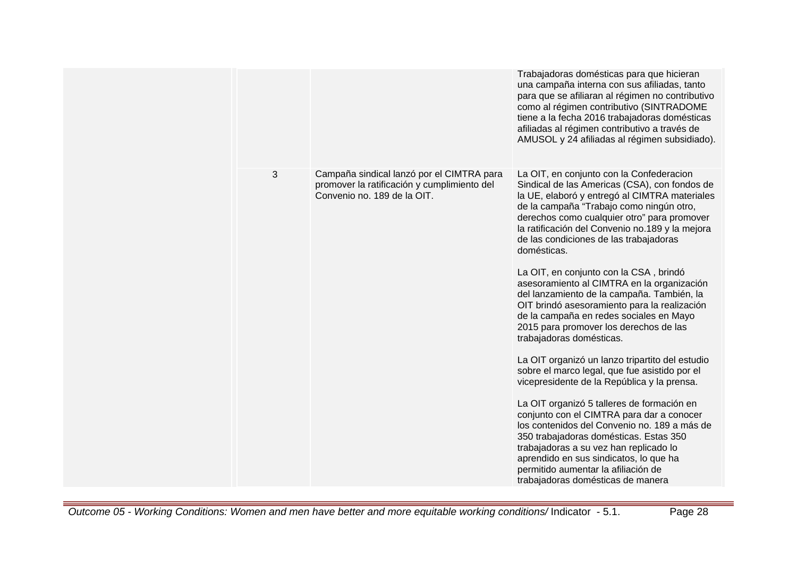|   |                                                                                                                         | Trabajadoras domésticas para que hicieran<br>una campaña interna con sus afiliadas, tanto<br>para que se afiliaran al régimen no contributivo<br>como al régimen contributivo (SINTRADOME<br>tiene a la fecha 2016 trabajadoras domésticas<br>afiliadas al régimen contributivo a través de<br>AMUSOL y 24 afiliadas al régimen subsidiado).                                                                                                                                                                                                                                                                                                                                                                                                                                                                                                                                                                                                                                                                                                                                                                                                                     |
|---|-------------------------------------------------------------------------------------------------------------------------|------------------------------------------------------------------------------------------------------------------------------------------------------------------------------------------------------------------------------------------------------------------------------------------------------------------------------------------------------------------------------------------------------------------------------------------------------------------------------------------------------------------------------------------------------------------------------------------------------------------------------------------------------------------------------------------------------------------------------------------------------------------------------------------------------------------------------------------------------------------------------------------------------------------------------------------------------------------------------------------------------------------------------------------------------------------------------------------------------------------------------------------------------------------|
| 3 | Campaña sindical lanzó por el CIMTRA para<br>promover la ratificación y cumplimiento del<br>Convenio no. 189 de la OIT. | La OIT, en conjunto con la Confederacion<br>Sindical de las Americas (CSA), con fondos de<br>la UE, elaboró y entregó al CIMTRA materiales<br>de la campaña "Trabajo como ningún otro,<br>derechos como cualquier otro" para promover<br>la ratificación del Convenio no.189 y la mejora<br>de las condiciones de las trabajadoras<br>domésticas.<br>La OIT, en conjunto con la CSA, brindó<br>asesoramiento al CIMTRA en la organización<br>del lanzamiento de la campaña. También, la<br>OIT brindó asesoramiento para la realización<br>de la campaña en redes sociales en Mayo<br>2015 para promover los derechos de las<br>trabajadoras domésticas.<br>La OIT organizó un lanzo tripartito del estudio<br>sobre el marco legal, que fue asistido por el<br>vicepresidente de la República y la prensa.<br>La OIT organizó 5 talleres de formación en<br>conjunto con el CIMTRA para dar a conocer<br>los contenidos del Convenio no. 189 a más de<br>350 trabajadoras domésticas. Estas 350<br>trabajadoras a su vez han replicado lo<br>aprendido en sus sindicatos, lo que ha<br>permitido aumentar la afiliación de<br>trabajadoras domésticas de manera |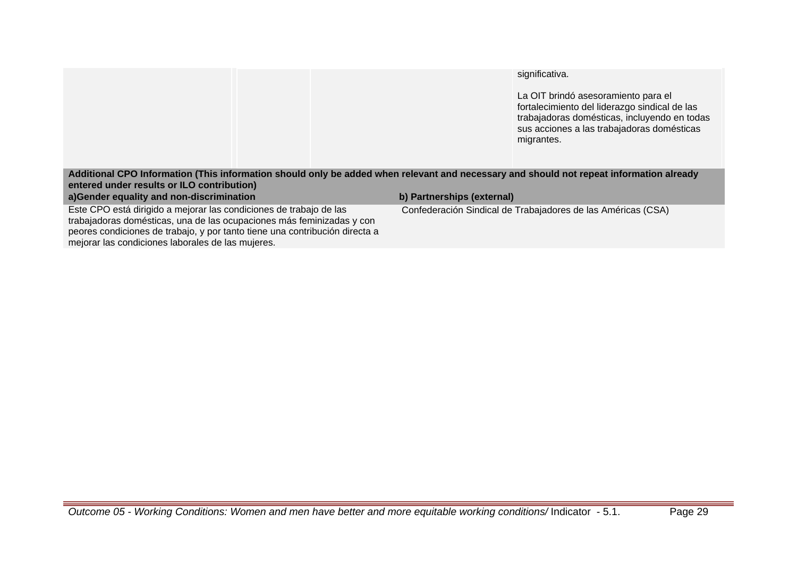## significativa.

La OIT brindó asesoramiento para el fortalecimiento del liderazgo sindical de las trabajadoras domésticas, incluyendo en todas sus acciones a las trabajadoras domésticas migrantes.

## **Additional CPO Information (This information should only be added when relevant and necessary and should not repeat information already entered under results or ILO contribution)**

## **a)Gender equality and non-discrimination b) Partnerships (external)**

Este CPO está dirigido a mejorar las condiciones de trabajo de las trabajadoras domésticas, una de las ocupaciones más feminizadas y con peores condiciones de trabajo, y por tanto tiene una contribución directa a mejorar las condiciones laborales de las mujeres.

Confederación Sindical de Trabajadores de las Américas (CSA)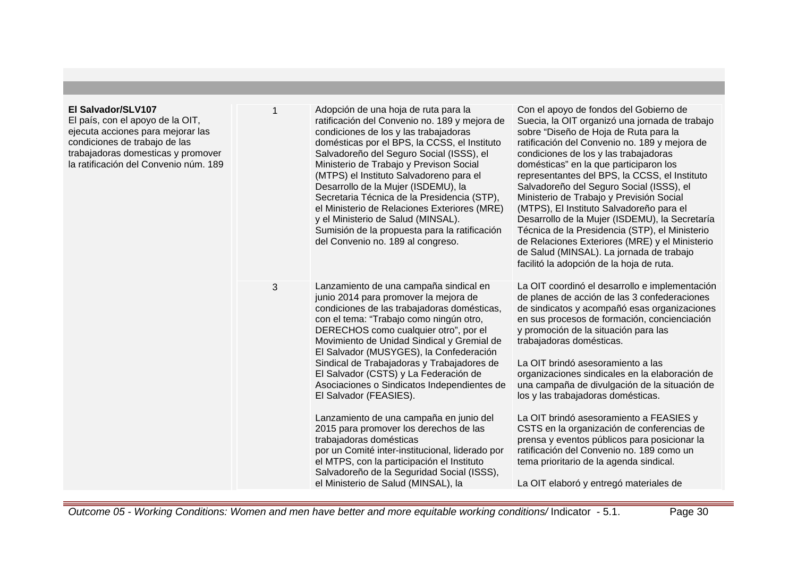#### **El Salvador/SLV107** El país, con el apoyo de la OIT, ejecuta acciones para mejorar las condiciones de trabajo de las trabajadoras domesticas y promover la ratificación del Convenio núm. 189 1 Adopción de una hoja de ruta para la ratificación del Convenio no. 189 y mejora de condiciones de los y las trabajadoras domésticas por el BPS, la CCSS, el Instituto Salvadoreño del Seguro Social (ISSS), el Ministerio de Trabajo y Previson Social (MTPS) el Instituto Salvadoreno para el Desarrollo de la Mujer (ISDEMU), la Secretaria Técnica de la Presidencia (STP), el Ministerio de Relaciones Exteriores (MRE) y el Ministerio de Salud (MINSAL). Sumisión de la propuesta para la ratificación del Convenio no. 189 al congreso.

3 Lanzamiento de una campaña sindical en junio 2014 para promover la mejora de condiciones de las trabajadoras domésticas, con el tema: "Trabajo como ningún otro, DERECHOS como cualquier otro", por el Movimiento de Unidad Sindical y Gremial de El Salvador (MUSYGES), la Confederación Sindical de Trabajadoras y Trabajadores de El Salvador (CSTS) y La Federación de Asociaciones o Sindicatos Independientes de El Salvador (FEASIES).

> Lanzamiento de una campaña en junio del 2015 para promover los derechos de las trabajadoras domésticas por un Comité inter-institucional, liderado por el MTPS, con la participación el Instituto Salvadoreño de la Seguridad Social (ISSS), el Ministerio de Salud (MINSAL), la

Con el apoyo de fondos del Gobierno de Suecia, la OIT organizó una jornada de trabajo sobre "Diseño de Hoja de Ruta para la ratificación del Convenio no. 189 y mejora de condiciones de los y las trabajadoras domésticas" en la que participaron los representantes del BPS, la CCSS, el Instituto Salvadoreño del Seguro Social (ISSS), el Ministerio de Trabajo y Previsión Social (MTPS), El Instituto Salvadoreño para el Desarrollo de la Mujer (ISDEMU), la Secretaría Técnica de la Presidencia (STP), el Ministerio de Relaciones Exteriores (MRE) y el Ministerio de Salud (MINSAL). La jornada de trabajo facilitó la adopción de la hoja de ruta.

La OIT coordinó el desarrollo e implementación de planes de acción de las 3 confederaciones de sindicatos y acompañó esas organizaciones en sus procesos de formación, concienciación y promoción de la situación para las trabajadoras domésticas.

La OIT brindó asesoramiento a las organizaciones sindicales en la elaboración de una campaña de divulgación de la situación de los y las trabajadoras domésticas.

La OIT brindó asesoramiento a FEASIES y CSTS en la organización de conferencias de prensa y eventos públicos para posicionar la ratificación del Convenio no. 189 como un tema prioritario de la agenda sindical.

La OIT elaboró y entregó materiales de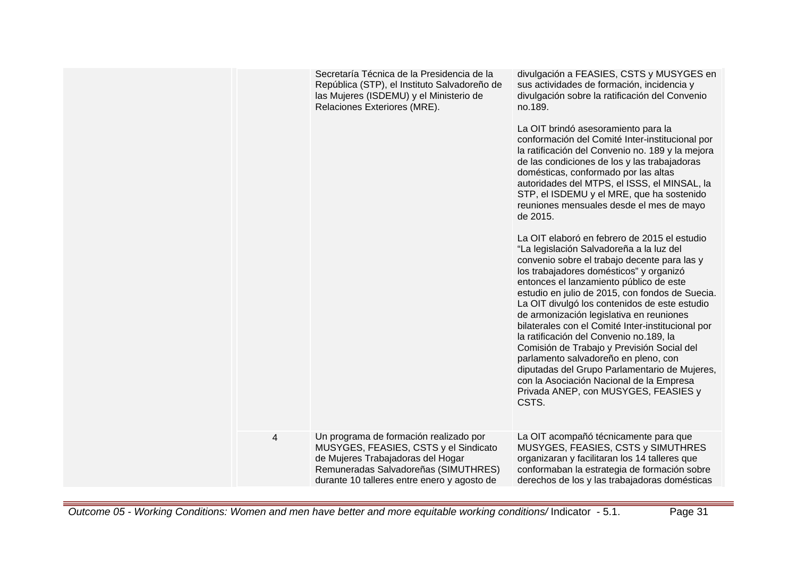|                | Secretaría Técnica de la Presidencia de la<br>República (STP), el Instituto Salvadoreño de<br>las Mujeres (ISDEMU) y el Ministerio de<br>Relaciones Exteriores (MRE). | divulgación a FEASIES, CSTS y MUSYGES en<br>sus actividades de formación, incidencia y<br>divulgación sobre la ratificación del Convenio<br>no.189.<br>La OIT brindó asesoramiento para la<br>conformación del Comité Inter-institucional por<br>la ratificación del Convenio no. 189 y la mejora<br>de las condiciones de los y las trabajadoras<br>domésticas, conformado por las altas<br>autoridades del MTPS, el ISSS, el MINSAL, la<br>STP, el ISDEMU y el MRE, que ha sostenido<br>reuniones mensuales desde el mes de mayo<br>de 2015.<br>La OIT elaboró en febrero de 2015 el estudio<br>"La legislación Salvadoreña a la luz del<br>convenio sobre el trabajo decente para las y<br>los trabajadores domésticos" y organizó<br>entonces el lanzamiento público de este<br>estudio en julio de 2015, con fondos de Suecia.<br>La OIT divulgó los contenidos de este estudio<br>de armonización legislativa en reuniones<br>bilaterales con el Comité Inter-institucional por<br>la ratificación del Convenio no.189, la<br>Comisión de Trabajo y Previsión Social del<br>parlamento salvadoreño en pleno, con<br>diputadas del Grupo Parlamentario de Mujeres,<br>con la Asociación Nacional de la Empresa<br>Privada ANEP, con MUSYGES, FEASIES y<br>CSTS. |
|----------------|-----------------------------------------------------------------------------------------------------------------------------------------------------------------------|----------------------------------------------------------------------------------------------------------------------------------------------------------------------------------------------------------------------------------------------------------------------------------------------------------------------------------------------------------------------------------------------------------------------------------------------------------------------------------------------------------------------------------------------------------------------------------------------------------------------------------------------------------------------------------------------------------------------------------------------------------------------------------------------------------------------------------------------------------------------------------------------------------------------------------------------------------------------------------------------------------------------------------------------------------------------------------------------------------------------------------------------------------------------------------------------------------------------------------------------------------------------|
| $\overline{4}$ | Un programa de formación realizado por<br>MUSYGES, FEASIES, CSTS y el Sindicato                                                                                       | La OIT acompañó técnicamente para que<br>MUSYGES, FEASIES, CSTS y SIMUTHRES                                                                                                                                                                                                                                                                                                                                                                                                                                                                                                                                                                                                                                                                                                                                                                                                                                                                                                                                                                                                                                                                                                                                                                                          |
|                | de Mujeres Trabajadoras del Hogar<br>Remuneradas Salvadoreñas (SIMUTHRES)<br>durante 10 talleres entre enero y agosto de                                              | organizaran y facilitaran los 14 talleres que<br>conformaban la estrategia de formación sobre<br>derechos de los y las trabajadoras domésticas                                                                                                                                                                                                                                                                                                                                                                                                                                                                                                                                                                                                                                                                                                                                                                                                                                                                                                                                                                                                                                                                                                                       |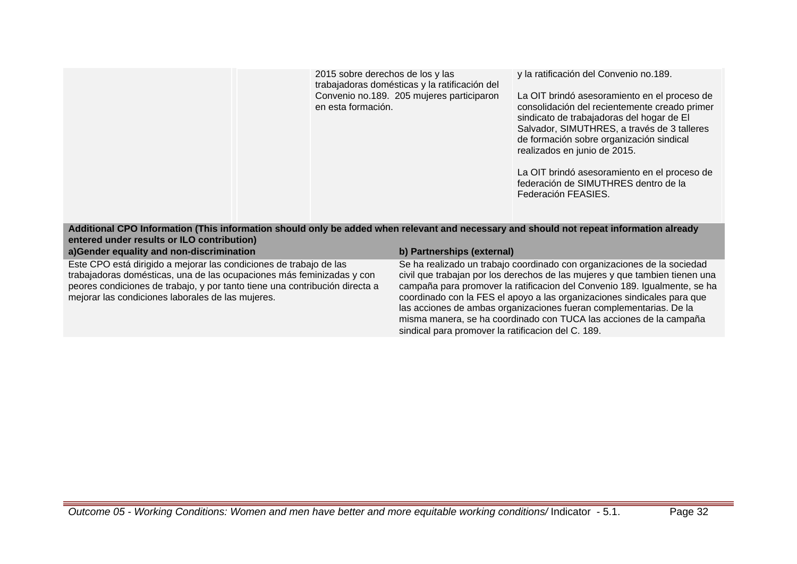| 2015 sobre derechos de los y las              |  |  |  |  |
|-----------------------------------------------|--|--|--|--|
| trabajadoras domésticas y la ratificación del |  |  |  |  |
| Convenio no.189. 205 mujeres participaron     |  |  |  |  |
| en esta formación.                            |  |  |  |  |

y la ratificación del Convenio no.189.

La OIT brindó asesoramiento en el proceso de consolidación del recientemente creado primer sindicato de trabajadoras del hogar de El Salvador, SIMUTHRES, a través de 3 talleres de formación sobre organización sindical realizados en junio de 2015.

La OIT brindó asesoramiento en el proceso de federación de SIMUTHRES dentro de la Federación FEASIES.

### **Additional CPO Information (This information should only be added when relevant and necessary and should not repeat information already entered under results or ILO contribution)**

**a)Gender equality and non-discrimination b) Partnerships (external)** Este CPO está dirigido a mejorar las condiciones de trabajo de las trabajadoras domésticas, una de las ocupaciones más feminizadas y con

peores condiciones de trabajo, y por tanto tiene una contribución directa a mejorar las condiciones laborales de las mujeres.

Se ha realizado un trabajo coordinado con organizaciones de la sociedad civil que trabajan por los derechos de las mujeres y que tambien tienen una campaña para promover la ratificacion del Convenio 189. Igualmente, se ha coordinado con la FES el apoyo a las organizaciones sindicales para que las acciones de ambas organizaciones fueran complementarias. De la misma manera, se ha coordinado con TUCA las acciones de la campaña sindical para promover la ratificacion del C. 189.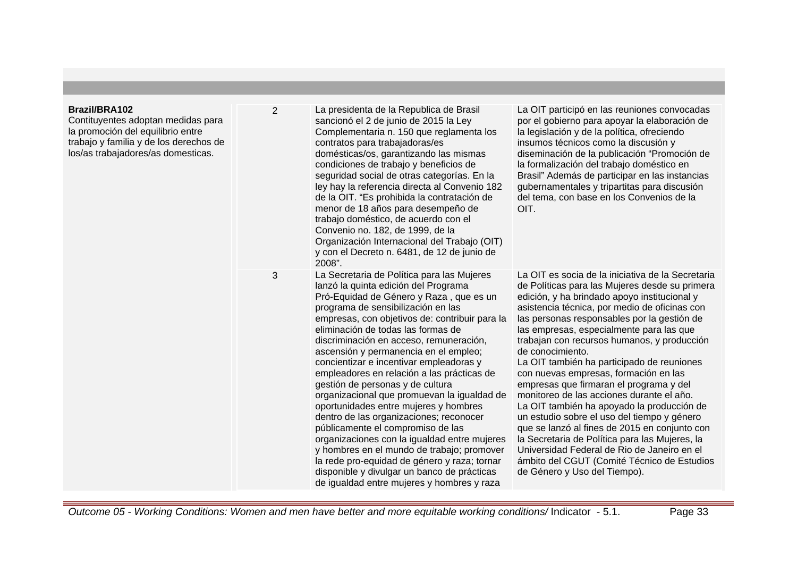## **Brazil/BRA102**

Contituyentes adoptan medidas para la promoción del equilibrio entre trabajo y familia y de los derechos de los/as trabajadores/as domesticas.

| $\overline{2}$ | La presidenta de la Republica de Brasil<br>sancionó el 2 de junio de 2015 la Ley<br>Complementaria n. 150 que reglamenta los<br>contratos para trabajadoras/es<br>domésticas/os, garantizando las mismas<br>condiciones de trabajo y beneficios de<br>seguridad social de otras categorías. En la<br>ley hay la referencia directa al Convenio 182<br>de la OIT. "Es prohibida la contratación de<br>menor de 18 años para desempeño de<br>trabajo doméstico, de acuerdo con el<br>Convenio no. 182, de 1999, de la<br>Organización Internacional del Trabajo (OIT)<br>y con el Decreto n. 6481, de 12 de junio de<br>2008".                                                                                                                                                                                                                                                                    | La OIT participó en las reuniones convocadas<br>por el gobierno para apoyar la elaboración de<br>la legislación y de la política, ofreciendo<br>insumos técnicos como la discusión y<br>diseminación de la publicación "Promoción de<br>la formalización del trabajo doméstico en<br>Brasil" Además de participar en las instancias<br>gubernamentales y tripartitas para discusión<br>del tema, con base en los Convenios de la<br>OIT.                                                                                                                                                                                                                                                                                                                                                                                                                                        |
|----------------|-------------------------------------------------------------------------------------------------------------------------------------------------------------------------------------------------------------------------------------------------------------------------------------------------------------------------------------------------------------------------------------------------------------------------------------------------------------------------------------------------------------------------------------------------------------------------------------------------------------------------------------------------------------------------------------------------------------------------------------------------------------------------------------------------------------------------------------------------------------------------------------------------|---------------------------------------------------------------------------------------------------------------------------------------------------------------------------------------------------------------------------------------------------------------------------------------------------------------------------------------------------------------------------------------------------------------------------------------------------------------------------------------------------------------------------------------------------------------------------------------------------------------------------------------------------------------------------------------------------------------------------------------------------------------------------------------------------------------------------------------------------------------------------------|
| 3              | La Secretaria de Política para las Mujeres<br>lanzó la quinta edición del Programa<br>Pró-Equidad de Género y Raza, que es un<br>programa de sensibilización en las<br>empresas, con objetivos de: contribuir para la<br>eliminación de todas las formas de<br>discriminación en acceso, remuneración,<br>ascensión y permanencia en el empleo;<br>concientizar e incentivar empleadoras y<br>empleadores en relación a las prácticas de<br>gestión de personas y de cultura<br>organizacional que promuevan la igualdad de<br>oportunidades entre mujeres y hombres<br>dentro de las organizaciones; reconocer<br>públicamente el compromiso de las<br>organizaciones con la igualdad entre mujeres<br>y hombres en el mundo de trabajo; promover<br>la rede pro-equidad de género y raza; tornar<br>disponible y divulgar un banco de prácticas<br>de igualdad entre mujeres y hombres y raza | La OIT es socia de la iniciativa de la Secretaria<br>de Políticas para las Mujeres desde su primera<br>edición, y ha brindado apoyo institucional y<br>asistencia técnica, por medio de oficinas con<br>las personas responsables por la gestión de<br>las empresas, especialmente para las que<br>trabajan con recursos humanos, y producción<br>de conocimiento.<br>La OIT también ha participado de reuniones<br>con nuevas empresas, formación en las<br>empresas que firmaran el programa y del<br>monitoreo de las acciones durante el año.<br>La OIT también ha apoyado la producción de<br>un estudio sobre el uso del tiempo y género<br>que se lanzó al fines de 2015 en conjunto con<br>la Secretaria de Política para las Mujeres, la<br>Universidad Federal de Rio de Janeiro en el<br>ámbito del CGUT (Comité Técnico de Estudios<br>de Género y Uso del Tiempo). |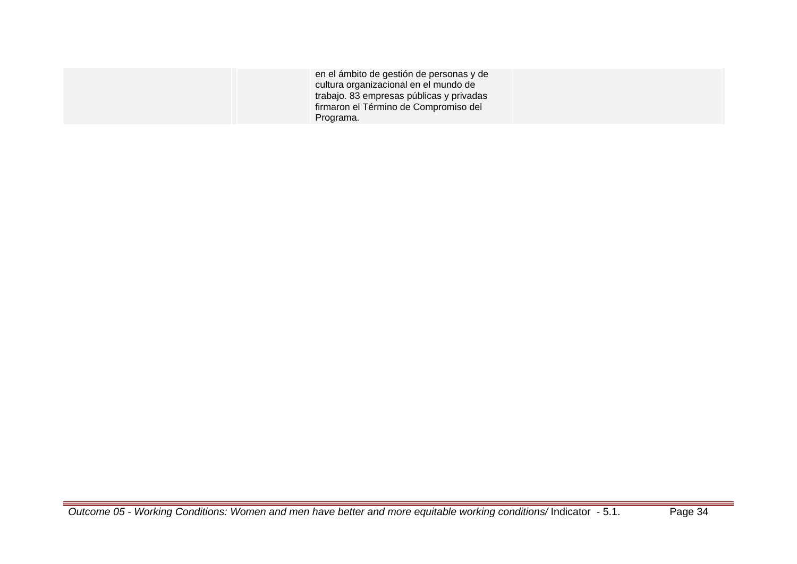| en el ámbito de gestión de personas y de<br>cultura organizacional en el mundo de<br>trabajo. 83 empresas públicas y privadas<br>firmaron el Término de Compromiso del<br>Programa. |  |
|-------------------------------------------------------------------------------------------------------------------------------------------------------------------------------------|--|
|-------------------------------------------------------------------------------------------------------------------------------------------------------------------------------------|--|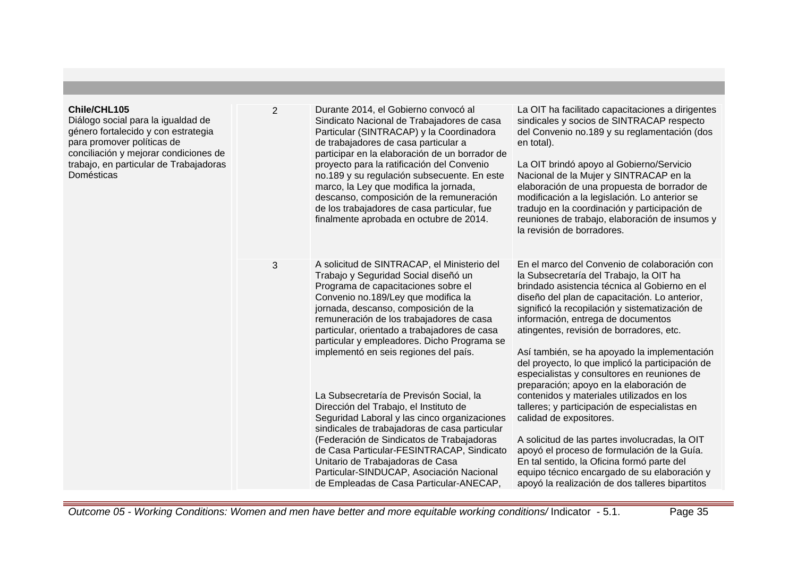### **Chile/CHL105**

Diálogo social para la igualdad de género fortalecido y con estrategia para promover políticas de conciliación y mejorar condiciones de trabajo, en particular de Trabajadoras Domésticas

2 Durante 2014, el Gobierno convocó al Sindicato Nacional de Trabajadores de casa Particular (SINTRACAP) y la Coordinadora de trabajadores de casa particular a participar en la elaboración de un borrador de proyecto para la ratificación del Convenio no.189 y su regulación subsecuente. En este marco, la Ley que modifica la jornada, descanso, composición de la remuneración de los trabajadores de casa particular, fue finalmente aprobada en octubre de 2014.

3 A solicitud de SINTRACAP, el Ministerio del Trabajo y Seguridad Social diseñó un Programa de capacitaciones sobre el Convenio no.189/Ley que modifica la jornada, descanso, composición de la remuneración de los trabajadores de casa particular, orientado a trabajadores de casa particular y empleadores. Dicho Programa se implementó en seis regiones del país.

> La Subsecretaría de Previsón Social, la Dirección del Trabajo, el Instituto de Seguridad Laboral y las cinco organizaciones sindicales de trabajadoras de casa particular (Federación de Sindicatos de Trabajadoras de Casa Particular-FESINTRACAP, Sindicato Unitario de Trabajadoras de Casa Particular-SINDUCAP, Asociación Nacional de Empleadas de Casa Particular-ANECAP,

La OIT ha facilitado capacitaciones a dirigentes sindicales y socios de SINTRACAP respecto del Convenio no.189 y su reglamentación (dos en total).

La OIT brindó apoyo al Gobierno/Servicio Nacional de la Mujer y SINTRACAP en la elaboración de una propuesta de borrador de modificación a la legislación. Lo anterior se tradujo en la coordinación y participación de reuniones de trabajo, elaboración de insumos y la revisión de borradores.

En el marco del Convenio de colaboración con la Subsecretaría del Trabajo, la OIT ha brindado asistencia técnica al Gobierno en el diseño del plan de capacitación. Lo anterior, significó la recopilación y sistematización de información, entrega de documentos atingentes, revisión de borradores, etc.

Así también, se ha apoyado la implementación del proyecto, lo que implicó la participación de especialistas y consultores en reuniones de preparación; apoyo en la elaboración de contenidos y materiales utilizados en los talleres; y participación de especialistas en calidad de expositores.

A solicitud de las partes involucradas, la OIT apoyó el proceso de formulación de la Guía. En tal sentido, la Oficina formó parte del equipo técnico encargado de su elaboración y apoyó la realización de dos talleres bipartitos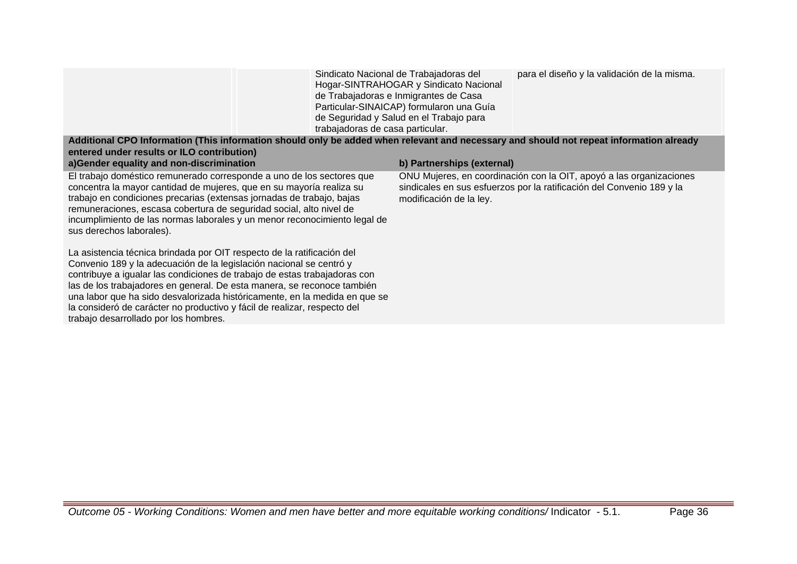|                                                                                                                                         | Sindicato Nacional de Trabajadoras del<br>Hogar-SINTRAHOGAR y Sindicato Nacional<br>de Trabajadoras e Inmigrantes de Casa<br>Particular-SINAICAP) formularon una Guía<br>de Seguridad y Salud en el Trabajo para<br>trabajadoras de casa particular. | para el diseño y la validación de la misma. |  |
|-----------------------------------------------------------------------------------------------------------------------------------------|------------------------------------------------------------------------------------------------------------------------------------------------------------------------------------------------------------------------------------------------------|---------------------------------------------|--|
| Additional CPO Information (This information should only be added when relevant and necessary and should not repeat information already |                                                                                                                                                                                                                                                      |                                             |  |

| entered under results or ILO contribution)<br>a)Gender equality and non-discrimination                                                                                                                                                                                                                                                                                                                                                                                                                   | b) Partnerships (external)                                                                                                                                              |
|----------------------------------------------------------------------------------------------------------------------------------------------------------------------------------------------------------------------------------------------------------------------------------------------------------------------------------------------------------------------------------------------------------------------------------------------------------------------------------------------------------|-------------------------------------------------------------------------------------------------------------------------------------------------------------------------|
| El trabajo doméstico remunerado corresponde a uno de los sectores que<br>concentra la mayor cantidad de mujeres, que en su mayoría realiza su<br>trabajo en condiciones precarias (extensas jornadas de trabajo, bajas<br>remuneraciones, escasa cobertura de seguridad social, alto nivel de<br>incumplimiento de las normas laborales y un menor reconocimiento legal de<br>sus derechos laborales).                                                                                                   | ONU Mujeres, en coordinación con la OIT, apoyó a las organizaciones<br>sindicales en sus esfuerzos por la ratificación del Convenio 189 y la<br>modificación de la ley. |
| La asistencia técnica brindada por OIT respecto de la ratificación del<br>Convenio 189 y la adecuación de la legislación nacional se centró y<br>contribuye a igualar las condiciones de trabajo de estas trabajadoras con<br>las de los trabajadores en general. De esta manera, se reconoce también<br>una labor que ha sido desvalorizada históricamente, en la medida en que se<br>la consideró de carácter no productivo y fácil de realizar, respecto del<br>trabajo desarrollado por los hombres. |                                                                                                                                                                         |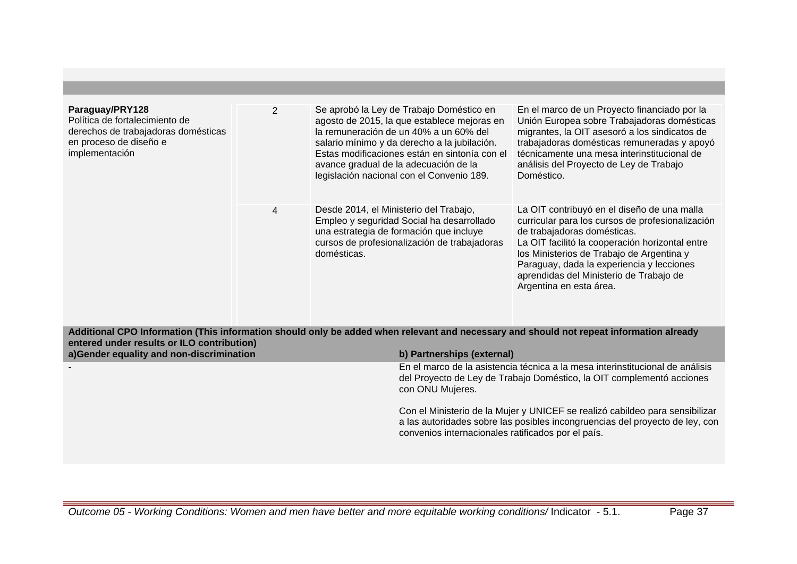| Paraguay/PRY128<br>Política de fortalecimiento de<br>derechos de trabajadoras domésticas<br>en proceso de diseño e<br>implementación | $\overline{2}$ | Se aprobó la Ley de Trabajo Doméstico en<br>agosto de 2015, la que establece mejoras en<br>la remuneración de un 40% a un 60% del<br>salario mínimo y da derecho a la jubilación.<br>Estas modificaciones están en sintonía con el<br>avance gradual de la adecuación de la<br>legislación nacional con el Convenio 189. | En el marco de un Proyecto financiado por la<br>Unión Europea sobre Trabajadoras domésticas<br>migrantes, la OIT asesoró a los sindicatos de<br>trabajadoras domésticas remuneradas y apoyó<br>técnicamente una mesa interinstitucional de<br>análisis del Proyecto de Ley de Trabajo<br>Doméstico.                                               |
|--------------------------------------------------------------------------------------------------------------------------------------|----------------|--------------------------------------------------------------------------------------------------------------------------------------------------------------------------------------------------------------------------------------------------------------------------------------------------------------------------|---------------------------------------------------------------------------------------------------------------------------------------------------------------------------------------------------------------------------------------------------------------------------------------------------------------------------------------------------|
|                                                                                                                                      | 4              | Desde 2014, el Ministerio del Trabajo,<br>Empleo y seguridad Social ha desarrollado<br>una estrategia de formación que incluye<br>cursos de profesionalización de trabajadoras<br>domésticas.                                                                                                                            | La OIT contribuyó en el diseño de una malla<br>curricular para los cursos de profesionalización<br>de trabajadoras domésticas.<br>La OIT facilitó la cooperación horizontal entre<br>los Ministerios de Trabajo de Argentina y<br>Paraguay, dada la experiencia y lecciones<br>aprendidas del Ministerio de Trabajo de<br>Argentina en esta área. |

**Additional CPO Information (This information should only be added when relevant and necessary and should not repeat information already entered under results or ILO contribution)**

| a)Gender equality and non-discrimination | b) Partnerships (external)                                                                                                                                                                                         |
|------------------------------------------|--------------------------------------------------------------------------------------------------------------------------------------------------------------------------------------------------------------------|
|                                          | En el marco de la asistencia técnica a la mesa interinstitucional de análisis<br>del Proyecto de Ley de Trabajo Doméstico, la OIT complementó acciones<br>con ONU Mujeres.                                         |
|                                          | Con el Ministerio de la Mujer y UNICEF se realizó cabildeo para sensibilizar<br>a las autoridades sobre las posibles incongruencias del proyecto de ley, con<br>convenios internacionales ratificados por el país. |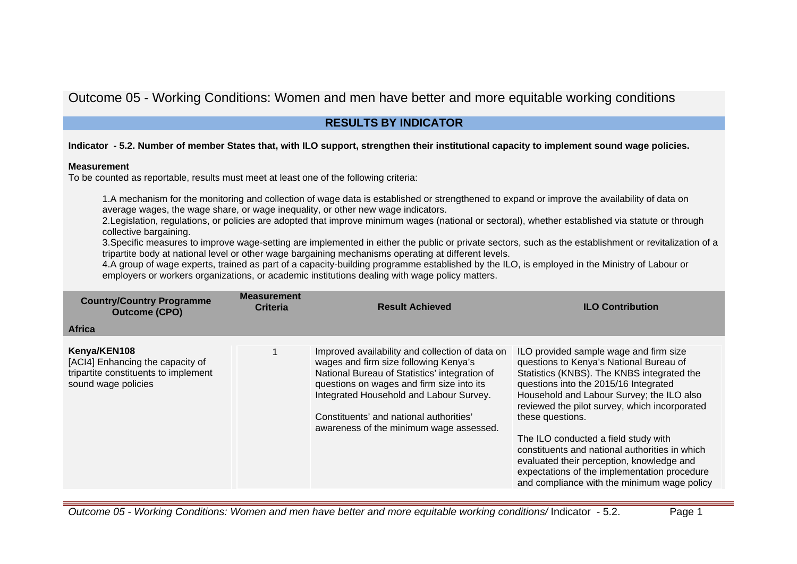# Outcome 05 - Working Conditions: Women and men have better and more equitable working conditions

# **RESULTS BY INDICATOR**

## **Indicator - 5.2. Number of member States that, with ILO support, strengthen their institutional capacity to implement sound wage policies.**

## **Measurement**

To be counted as reportable, results must meet at least one of the following criteria:

1.A mechanism for the monitoring and collection of wage data is established or strengthened to expand or improve the availability of data on average wages, the wage share, or wage inequality, or other new wage indicators.

2.Legislation, regulations, or policies are adopted that improve minimum wages (national or sectoral), whether established via statute or through collective bargaining.

3.Specific measures to improve wage-setting are implemented in either the public or private sectors, such as the establishment or revitalization of a tripartite body at national level or other wage bargaining mechanisms operating at different levels.

4.A group of wage experts, trained as part of a capacity-building programme established by the ILO, is employed in the Ministry of Labour or employers or workers organizations, or academic institutions dealing with wage policy matters.

| <b>Country/Country Programme</b><br><b>Outcome (CPO)</b>                                                        | <b>Measurement</b><br><b>Criteria</b> | <b>Result Achieved</b>                                                                                                                                                                                                                                                                                                  | <b>ILO Contribution</b>                                                                                                                                                                                                                                                                                                                                                                                                                                                                                                          |
|-----------------------------------------------------------------------------------------------------------------|---------------------------------------|-------------------------------------------------------------------------------------------------------------------------------------------------------------------------------------------------------------------------------------------------------------------------------------------------------------------------|----------------------------------------------------------------------------------------------------------------------------------------------------------------------------------------------------------------------------------------------------------------------------------------------------------------------------------------------------------------------------------------------------------------------------------------------------------------------------------------------------------------------------------|
| <b>Africa</b>                                                                                                   |                                       |                                                                                                                                                                                                                                                                                                                         |                                                                                                                                                                                                                                                                                                                                                                                                                                                                                                                                  |
| Kenya/KEN108<br>[ACI4] Enhancing the capacity of<br>tripartite constituents to implement<br>sound wage policies |                                       | Improved availability and collection of data on<br>wages and firm size following Kenya's<br>National Bureau of Statistics' integration of<br>questions on wages and firm size into its<br>Integrated Household and Labour Survey.<br>Constituents' and national authorities'<br>awareness of the minimum wage assessed. | ILO provided sample wage and firm size<br>questions to Kenya's National Bureau of<br>Statistics (KNBS). The KNBS integrated the<br>questions into the 2015/16 Integrated<br>Household and Labour Survey; the ILO also<br>reviewed the pilot survey, which incorporated<br>these questions.<br>The ILO conducted a field study with<br>constituents and national authorities in which<br>evaluated their perception, knowledge and<br>expectations of the implementation procedure<br>and compliance with the minimum wage policy |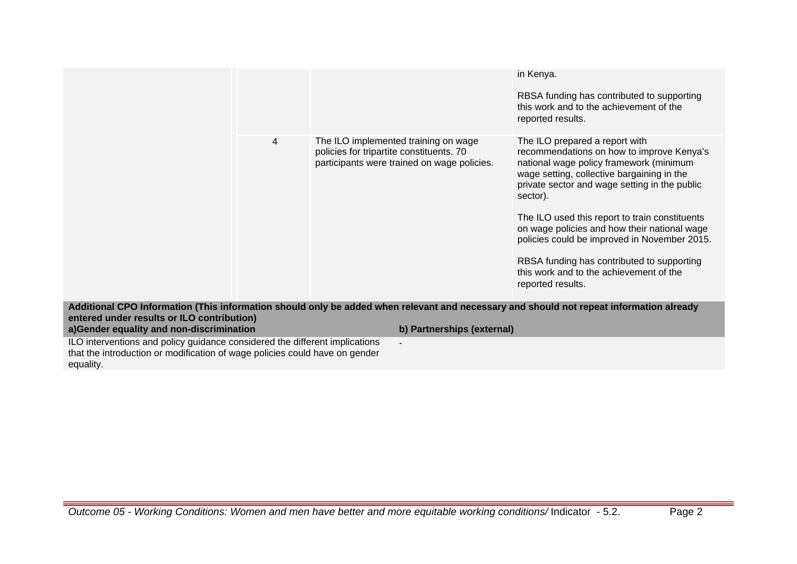|                                                                                                                                                                                       |                                                                                                                                 | in Kenya.<br>RBSA funding has contributed to supporting<br>this work and to the achievement of the<br>reported results.                                                                                                           |  |  |
|---------------------------------------------------------------------------------------------------------------------------------------------------------------------------------------|---------------------------------------------------------------------------------------------------------------------------------|-----------------------------------------------------------------------------------------------------------------------------------------------------------------------------------------------------------------------------------|--|--|
| 4                                                                                                                                                                                     | The ILO implemented training on wage<br>policies for tripartite constituents. 70<br>participants were trained on wage policies. | The ILO prepared a report with<br>recommendations on how to improve Kenya's<br>national wage policy framework (minimum<br>wage setting, collective bargaining in the<br>private sector and wage setting in the public<br>sector). |  |  |
|                                                                                                                                                                                       |                                                                                                                                 | The ILO used this report to train constituents<br>on wage policies and how their national wage<br>policies could be improved in November 2015.                                                                                    |  |  |
|                                                                                                                                                                                       |                                                                                                                                 | RBSA funding has contributed to supporting<br>this work and to the achievement of the<br>reported results.                                                                                                                        |  |  |
| Additional CPO Information (This information should only be added when relevant and necessary and should not repeat information already<br>entered under results or ILO contribution) |                                                                                                                                 |                                                                                                                                                                                                                                   |  |  |
| a)Gender equality and non-discrimination                                                                                                                                              | b) Partnerships (external)                                                                                                      |                                                                                                                                                                                                                                   |  |  |
| ILO interventions and policy guidance considered the different implications<br>that the introduction or modification of wage policies could have on gender                            |                                                                                                                                 |                                                                                                                                                                                                                                   |  |  |

equality.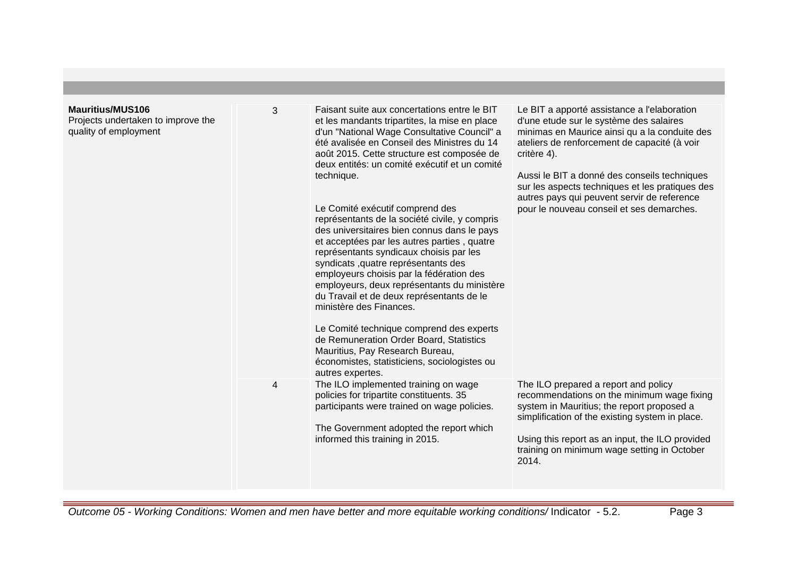| <b>Mauritius/MUS106</b><br>Projects undertaken to improve the<br>quality of employment | 3              | Faisant suite aux concertations entre le BIT<br>et les mandants tripartites, la mise en place<br>d'un "National Wage Consultative Council" a<br>été avalisée en Conseil des Ministres du 14<br>août 2015. Cette structure est composée de<br>deux entités: un comité exécutif et un comité<br>technique.<br>Le Comité exécutif comprend des<br>représentants de la société civile, y compris<br>des universitaires bien connus dans le pays<br>et acceptées par les autres parties, quatre<br>représentants syndicaux choisis par les<br>syndicats , quatre représentants des<br>employeurs choisis par la fédération des<br>employeurs, deux représentants du ministère<br>du Travail et de deux représentants de le<br>ministère des Finances.<br>Le Comité technique comprend des experts<br>de Remuneration Order Board, Statistics<br>Mauritius, Pay Research Bureau,<br>économistes, statisticiens, sociologistes ou<br>autres expertes. | Le BIT a apporté assistance a l'elaboration<br>d'une etude sur le système des salaires<br>minimas en Maurice ainsi qu a la conduite des<br>ateliers de renforcement de capacité (à voir<br>critère 4).<br>Aussi le BIT a donné des conseils techniques<br>sur les aspects techniques et les pratiques des<br>autres pays qui peuvent servir de reference<br>pour le nouveau conseil et ses demarches. |
|----------------------------------------------------------------------------------------|----------------|------------------------------------------------------------------------------------------------------------------------------------------------------------------------------------------------------------------------------------------------------------------------------------------------------------------------------------------------------------------------------------------------------------------------------------------------------------------------------------------------------------------------------------------------------------------------------------------------------------------------------------------------------------------------------------------------------------------------------------------------------------------------------------------------------------------------------------------------------------------------------------------------------------------------------------------------|-------------------------------------------------------------------------------------------------------------------------------------------------------------------------------------------------------------------------------------------------------------------------------------------------------------------------------------------------------------------------------------------------------|
|                                                                                        | $\overline{4}$ | The ILO implemented training on wage<br>policies for tripartite constituents. 35<br>participants were trained on wage policies.<br>The Government adopted the report which<br>informed this training in 2015.                                                                                                                                                                                                                                                                                                                                                                                                                                                                                                                                                                                                                                                                                                                                  | The ILO prepared a report and policy<br>recommendations on the minimum wage fixing<br>system in Mauritius; the report proposed a<br>simplification of the existing system in place.<br>Using this report as an input, the ILO provided<br>training on minimum wage setting in October<br>2014.                                                                                                        |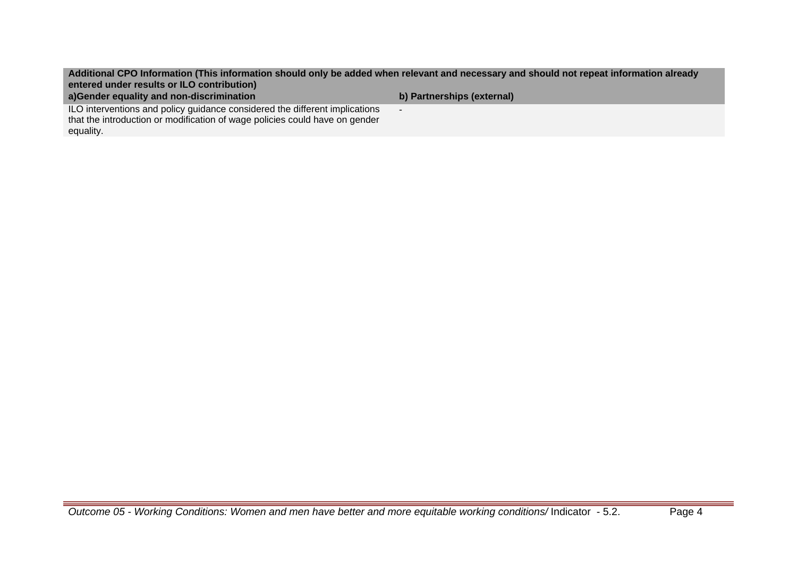**Additional CPO Information (This information should only be added when relevant and necessary and should not repeat information already entered under results or ILO contribution)**

-

**a)Gender equality and non-discrimination b) Partnerships (external)**

ILO interventions and policy guidance considered the different implications that the introduction or modification of wage policies could have on gender equality.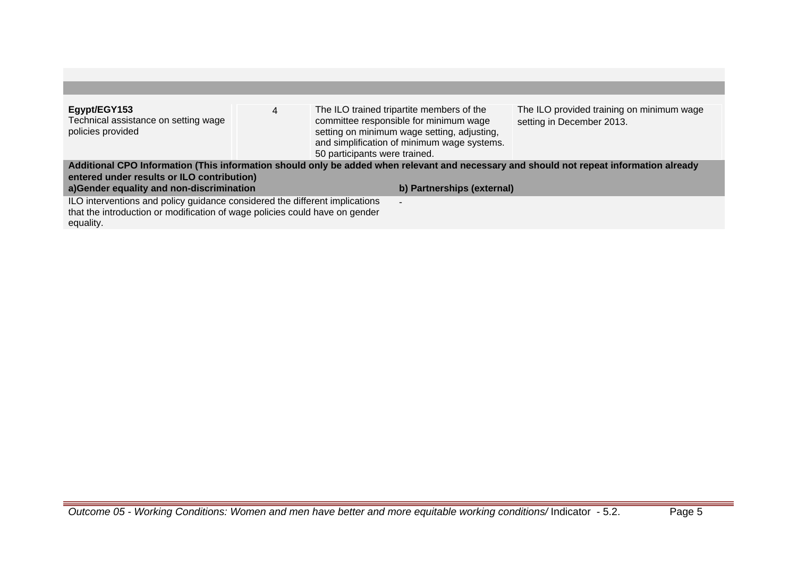| Egypt/EGY153<br>Technical assistance on setting wage                                                                                    | 4                             |                | The ILO trained tripartite members of the<br>committee responsible for minimum wage        | The ILO provided training on minimum wage<br>setting in December 2013. |  |  |
|-----------------------------------------------------------------------------------------------------------------------------------------|-------------------------------|----------------|--------------------------------------------------------------------------------------------|------------------------------------------------------------------------|--|--|
| policies provided                                                                                                                       | 50 participants were trained. |                | setting on minimum wage setting, adjusting,<br>and simplification of minimum wage systems. |                                                                        |  |  |
| Additional CPO Information (This information should only be added when relevant and necessary and should not repeat information already |                               |                |                                                                                            |                                                                        |  |  |
| entered under results or ILO contribution)                                                                                              |                               |                |                                                                                            |                                                                        |  |  |
| a)Gender equality and non-discrimination                                                                                                |                               |                | b) Partnerships (external)                                                                 |                                                                        |  |  |
| ILO interventions and policy guidance considered the different implications                                                             |                               | $\blacksquare$ |                                                                                            |                                                                        |  |  |
| that the introduction or modification of wage policies could have on gender                                                             |                               |                |                                                                                            |                                                                        |  |  |
| equality.                                                                                                                               |                               |                |                                                                                            |                                                                        |  |  |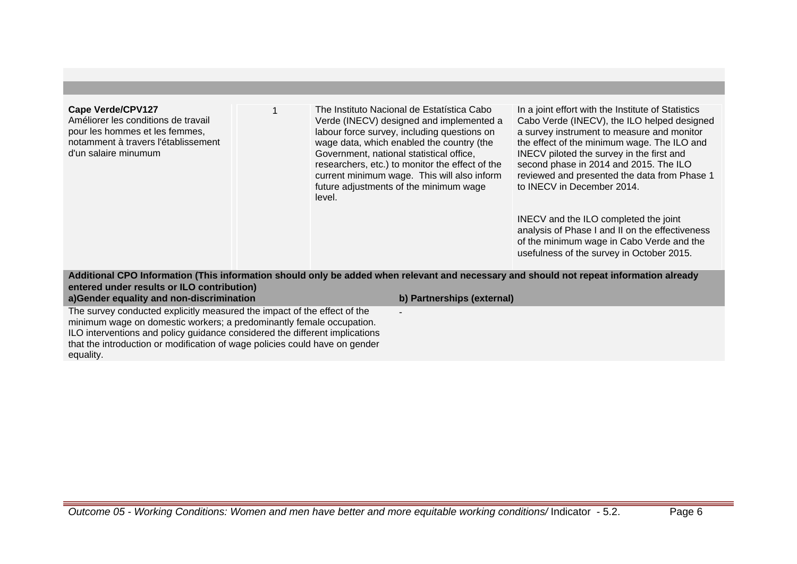#### **Cape Verde/CPV127**

Améliorer les conditions de travail pour les hommes et les femmes, notamment à travers l'établissement d'un salaire minumum

1 The Instituto Nacional de Estatística Cabo Verde (INECV) designed and implemented a labour force survey, including questions on wage data, which enabled the country (the Government, national statistical office, researchers, etc.) to monitor the effect of the current minimum wage. This will also inform future adjustments of the minimum wage level.

In a joint effort with the Institute of Statistics Cabo Verde (INECV), the ILO helped designed a survey instrument to measure and monitor the effect of the minimum wage. The ILO and INECV piloted the survey in the first and second phase in 2014 and 2015. The ILO reviewed and presented the data from Phase 1 to INECV in December 2014.

INECV and the ILO completed the joint analysis of Phase I and II on the effectiveness of the minimum wage in Cabo Verde and the usefulness of the survey in October 2015.

**Additional CPO Information (This information should only be added when relevant and necessary and should not repeat information already entered under results or ILO contribution)**

-

**a)Gender equality and non-discrimination b) Partnerships (external)**

The survey conducted explicitly measured the impact of the effect of the minimum wage on domestic workers; a predominantly female occupation. ILO interventions and policy guidance considered the different implications that the introduction or modification of wage policies could have on gender equality.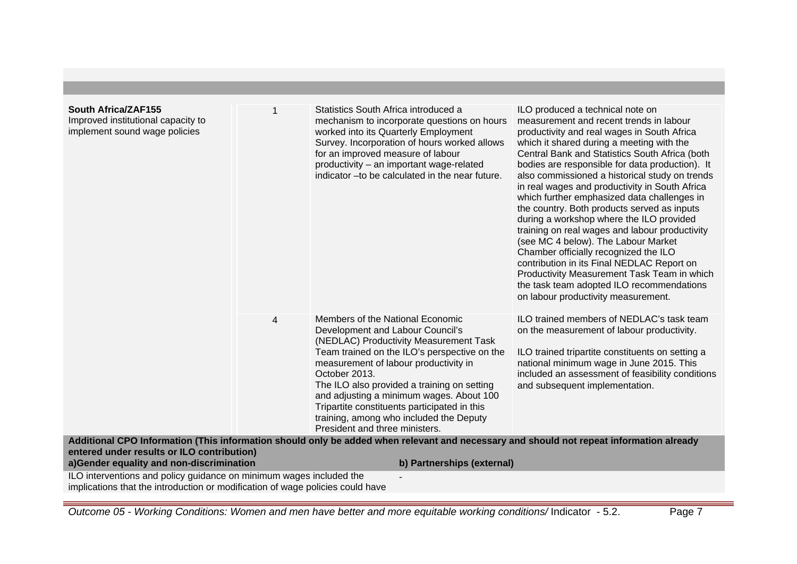| South Africa/ZAF155<br>Improved institutional capacity to<br>implement sound wage policies                                                            |                | Statistics South Africa introduced a<br>mechanism to incorporate questions on hours<br>worked into its Quarterly Employment<br>Survey. Incorporation of hours worked allows<br>for an improved measure of labour<br>productivity - an important wage-related<br>indicator - to be calculated in the near future.                                                                                                                                                                                                                                                                            | ILO produced a technical note on<br>measurement and recent trends in labour<br>productivity and real wages in South Africa<br>which it shared during a meeting with the<br>Central Bank and Statistics South Africa (both<br>bodies are responsible for data production). It<br>also commissioned a historical study on trends<br>in real wages and productivity in South Africa<br>which further emphasized data challenges in<br>the country. Both products served as inputs<br>during a workshop where the ILO provided<br>training on real wages and labour productivity<br>(see MC 4 below). The Labour Market<br>Chamber officially recognized the ILO<br>contribution in its Final NEDLAC Report on<br>Productivity Measurement Task Team in which<br>the task team adopted ILO recommendations<br>on labour productivity measurement. |
|-------------------------------------------------------------------------------------------------------------------------------------------------------|----------------|---------------------------------------------------------------------------------------------------------------------------------------------------------------------------------------------------------------------------------------------------------------------------------------------------------------------------------------------------------------------------------------------------------------------------------------------------------------------------------------------------------------------------------------------------------------------------------------------|-----------------------------------------------------------------------------------------------------------------------------------------------------------------------------------------------------------------------------------------------------------------------------------------------------------------------------------------------------------------------------------------------------------------------------------------------------------------------------------------------------------------------------------------------------------------------------------------------------------------------------------------------------------------------------------------------------------------------------------------------------------------------------------------------------------------------------------------------|
| entered under results or ILO contribution)                                                                                                            | $\overline{4}$ | Members of the National Economic<br>Development and Labour Council's<br>(NEDLAC) Productivity Measurement Task<br>Team trained on the ILO's perspective on the<br>measurement of labour productivity in<br>October 2013.<br>The ILO also provided a training on setting<br>and adjusting a minimum wages. About 100<br>Tripartite constituents participated in this<br>training, among who included the Deputy<br>President and three ministers.<br>Additional CPO Information (This information should only be added when relevant and necessary and should not repeat information already | ILO trained members of NEDLAC's task team<br>on the measurement of labour productivity.<br>ILO trained tripartite constituents on setting a<br>national minimum wage in June 2015. This<br>included an assessment of feasibility conditions<br>and subsequent implementation.                                                                                                                                                                                                                                                                                                                                                                                                                                                                                                                                                                 |
| a)Gender equality and non-discrimination                                                                                                              |                | b) Partnerships (external)                                                                                                                                                                                                                                                                                                                                                                                                                                                                                                                                                                  |                                                                                                                                                                                                                                                                                                                                                                                                                                                                                                                                                                                                                                                                                                                                                                                                                                               |
| ILO interventions and policy guidance on minimum wages included the<br>implications that the introduction or modification of wage policies could have |                |                                                                                                                                                                                                                                                                                                                                                                                                                                                                                                                                                                                             |                                                                                                                                                                                                                                                                                                                                                                                                                                                                                                                                                                                                                                                                                                                                                                                                                                               |

Outcome 05 - Working Conditions: Women and men have better and more equitable working conditions/ Indicator - 5.2. Page 7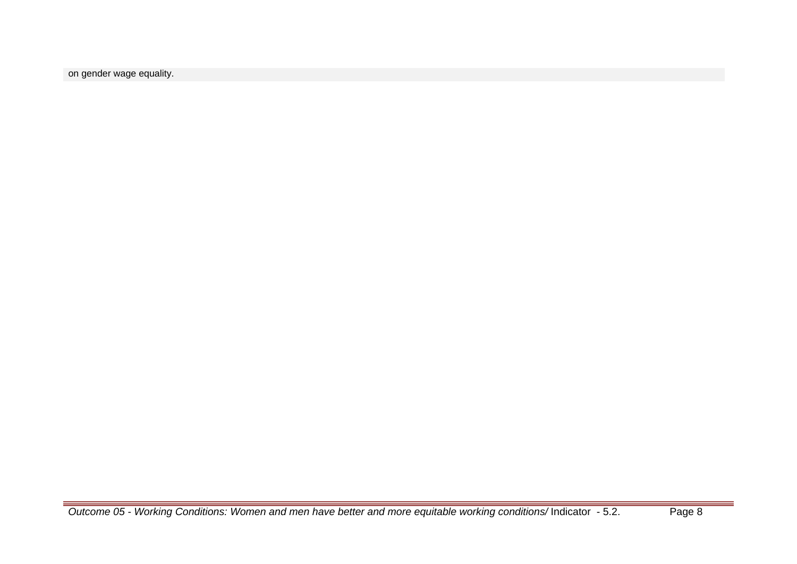on gender wage equality.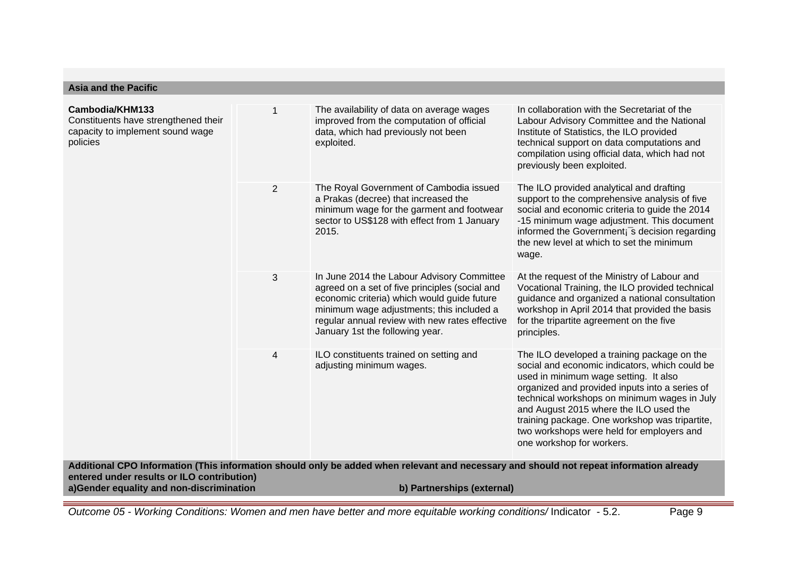| <b>Asia and the Pacific</b>                                                                             |                |                                                                                                                                                                                                                                                                                                                                                                                                                      |                                                                                                                                                                                                                                                                                                                                                                                                                |  |
|---------------------------------------------------------------------------------------------------------|----------------|----------------------------------------------------------------------------------------------------------------------------------------------------------------------------------------------------------------------------------------------------------------------------------------------------------------------------------------------------------------------------------------------------------------------|----------------------------------------------------------------------------------------------------------------------------------------------------------------------------------------------------------------------------------------------------------------------------------------------------------------------------------------------------------------------------------------------------------------|--|
| Cambodia/KHM133<br>Constituents have strengthened their<br>capacity to implement sound wage<br>policies |                | In collaboration with the Secretariat of the<br>The availability of data on average wages<br>improved from the computation of official<br>Labour Advisory Committee and the National<br>data, which had previously not been<br>Institute of Statistics, the ILO provided<br>exploited.<br>technical support on data computations and<br>compilation using official data, which had not<br>previously been exploited. |                                                                                                                                                                                                                                                                                                                                                                                                                |  |
|                                                                                                         | $\overline{2}$ | The Royal Government of Cambodia issued<br>a Prakas (decree) that increased the<br>minimum wage for the garment and footwear<br>sector to US\$128 with effect from 1 January<br>2015.                                                                                                                                                                                                                                | The ILO provided analytical and drafting<br>support to the comprehensive analysis of five<br>social and economic criteria to guide the 2014<br>-15 minimum wage adjustment. This document<br>informed the Government <sub>i</sub> <sup>s</sup> decision regarding<br>the new level at which to set the minimum<br>wage.                                                                                        |  |
|                                                                                                         | 3              | In June 2014 the Labour Advisory Committee<br>agreed on a set of five principles (social and<br>economic criteria) which would guide future<br>minimum wage adjustments; this included a<br>regular annual review with new rates effective<br>January 1st the following year.                                                                                                                                        | At the request of the Ministry of Labour and<br>Vocational Training, the ILO provided technical<br>guidance and organized a national consultation<br>workshop in April 2014 that provided the basis<br>for the tripartite agreement on the five<br>principles.                                                                                                                                                 |  |
|                                                                                                         | 4              | ILO constituents trained on setting and<br>adjusting minimum wages.                                                                                                                                                                                                                                                                                                                                                  | The ILO developed a training package on the<br>social and economic indicators, which could be<br>used in minimum wage setting. It also<br>organized and provided inputs into a series of<br>technical workshops on minimum wages in July<br>and August 2015 where the ILO used the<br>training package. One workshop was tripartite,<br>two workshops were held for employers and<br>one workshop for workers. |  |
| entered under results or ILO contribution)                                                              |                | Additional CPO Information (This information should only be added when relevant and necessary and should not repeat information already                                                                                                                                                                                                                                                                              |                                                                                                                                                                                                                                                                                                                                                                                                                |  |
| a)Gender equality and non-discrimination<br>b) Partnerships (external)                                  |                |                                                                                                                                                                                                                                                                                                                                                                                                                      |                                                                                                                                                                                                                                                                                                                                                                                                                |  |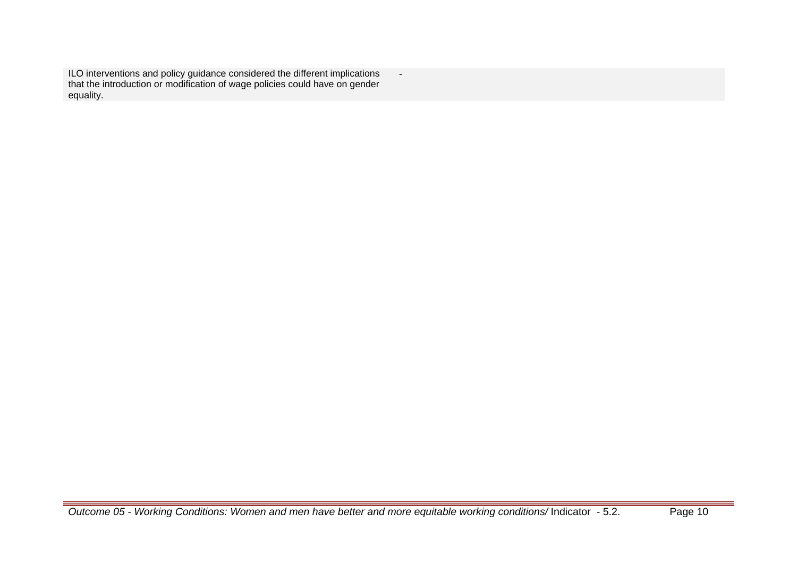ILO interventions and policy guidance considered the different implications that the introduction or modification of wage policies could have on gender equality.

-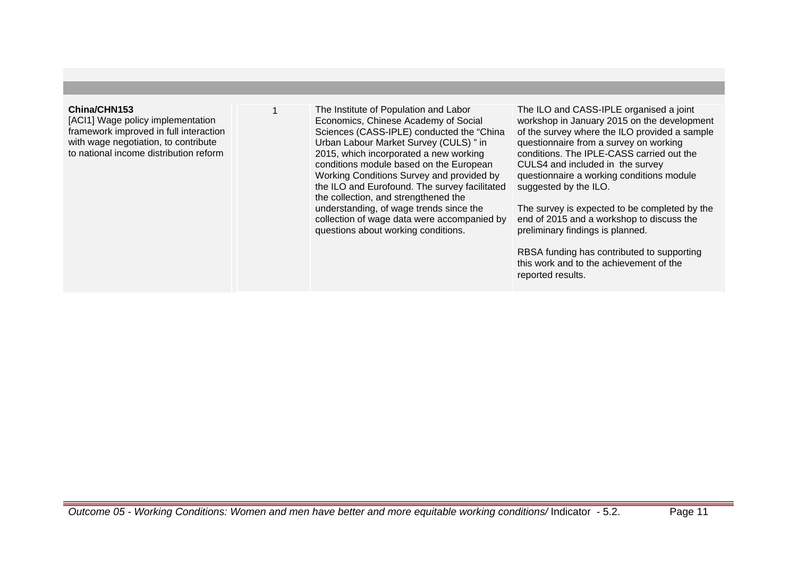### **China/CHN153**

[ACI1] Wage policy implementation framework improved in full interaction with wage negotiation, to contribute to national income distribution reform

The Institute of Population and Labor Economics, Chinese Academy of Social Sciences (CASS-IPLE) conducted the "China Urban Labour Market Survey (CULS) " in 2015, which incorporated a new working conditions module based on the European Working Conditions Survey and provided by the ILO and Eurofound. The survey facilitated the collection, and strengthened the understanding, of wage trends since the collection of wage data were accompanied by questions about working conditions.

The ILO and CASS-IPLE organised a joint workshop in January 2015 on the development of the survey where the ILO provided a sample questionnaire from a survey on working conditions. The IPLE-CASS carried out the CULS4 and included in the survey questionnaire a working conditions module suggested by the ILO.

The survey is expected to be completed by the end of 2015 and a workshop to discuss the preliminary findings is planned.

RBSA funding has contributed to supporting this work and to the achievement of the reported results.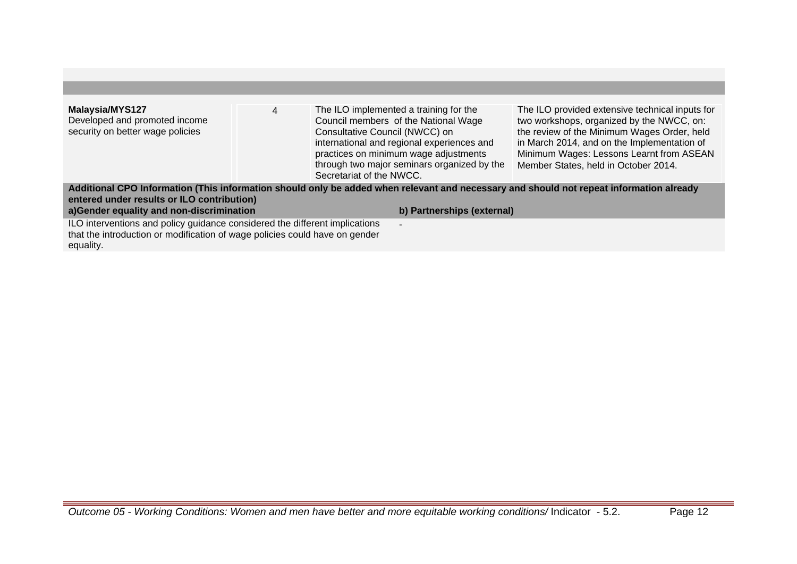| <b>Malaysia/MYS127</b><br>Developed and promoted income<br>security on better wage policies                                                                             | 4 | The ILO implemented a training for the<br>Council members of the National Wage<br>Consultative Council (NWCC) on<br>international and regional experiences and<br>practices on minimum wage adjustments<br>through two major seminars organized by the | The ILO provided extensive technical inputs for<br>two workshops, organized by the NWCC, on:<br>the review of the Minimum Wages Order, held<br>in March 2014, and on the Implementation of<br>Minimum Wages: Lessons Learnt from ASEAN<br>Member States, held in October 2014. |
|-------------------------------------------------------------------------------------------------------------------------------------------------------------------------|---|--------------------------------------------------------------------------------------------------------------------------------------------------------------------------------------------------------------------------------------------------------|--------------------------------------------------------------------------------------------------------------------------------------------------------------------------------------------------------------------------------------------------------------------------------|
|                                                                                                                                                                         |   | Secretariat of the NWCC.<br>Additional CPO Information (This information should only be added when relevant and necessary and should not repeat information already                                                                                    |                                                                                                                                                                                                                                                                                |
| entered under results or ILO contribution)                                                                                                                              |   |                                                                                                                                                                                                                                                        |                                                                                                                                                                                                                                                                                |
| a)Gender equality and non-discrimination                                                                                                                                |   | b) Partnerships (external)                                                                                                                                                                                                                             |                                                                                                                                                                                                                                                                                |
| ILO interventions and policy guidance considered the different implications<br>that the introduction or modification of wage policies could have on gender<br>equality. |   | $\blacksquare$                                                                                                                                                                                                                                         |                                                                                                                                                                                                                                                                                |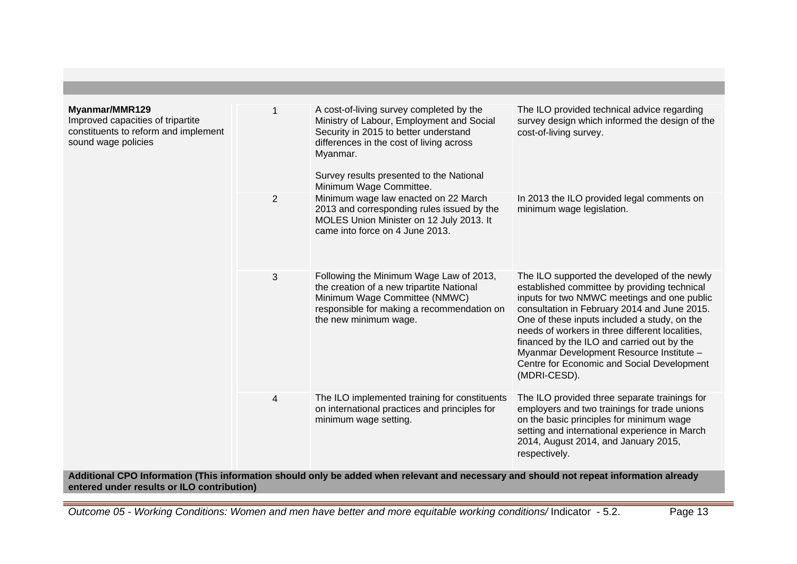| Myanmar/MMR129<br>Improved capacities of tripartite<br>constituents to reform and implement<br>sound wage policies |                | A cost-of-living survey completed by the<br>Ministry of Labour, Employment and Social<br>Security in 2015 to better understand<br>differences in the cost of living across<br>Myanmar.<br>Survey results presented to the National<br>Minimum Wage Committee. | The ILO provided technical advice regarding<br>survey design which informed the design of the<br>cost-of-living survey.                                                                                                                                                                                                                                                                                                                                |
|--------------------------------------------------------------------------------------------------------------------|----------------|---------------------------------------------------------------------------------------------------------------------------------------------------------------------------------------------------------------------------------------------------------------|--------------------------------------------------------------------------------------------------------------------------------------------------------------------------------------------------------------------------------------------------------------------------------------------------------------------------------------------------------------------------------------------------------------------------------------------------------|
|                                                                                                                    | $\overline{2}$ | Minimum wage law enacted on 22 March<br>2013 and corresponding rules issued by the<br>MOLES Union Minister on 12 July 2013. It<br>came into force on 4 June 2013.                                                                                             | In 2013 the ILO provided legal comments on<br>minimum wage legislation.                                                                                                                                                                                                                                                                                                                                                                                |
|                                                                                                                    | 3              | Following the Minimum Wage Law of 2013,<br>the creation of a new tripartite National<br>Minimum Wage Committee (NMWC)<br>responsible for making a recommendation on<br>the new minimum wage.                                                                  | The ILO supported the developed of the newly<br>established committee by providing technical<br>inputs for two NMWC meetings and one public<br>consultation in February 2014 and June 2015.<br>One of these inputs included a study, on the<br>needs of workers in three different localities,<br>financed by the ILO and carried out by the<br>Myanmar Development Resource Institute -<br>Centre for Economic and Social Development<br>(MDRI-CESD). |
|                                                                                                                    | $\overline{4}$ | The ILO implemented training for constituents<br>on international practices and principles for<br>minimum wage setting.                                                                                                                                       | The ILO provided three separate trainings for<br>employers and two trainings for trade unions<br>on the basic principles for minimum wage<br>setting and international experience in March<br>2014, August 2014, and January 2015,<br>respectively.                                                                                                                                                                                                    |

**Additional CPO Information (This information should only be added when relevant and necessary and should not repeat information already entered under results or ILO contribution)**

Outcome 05 - Working Conditions: Women and men have better and more equitable working conditions/ Indicator - 5.2. Page 13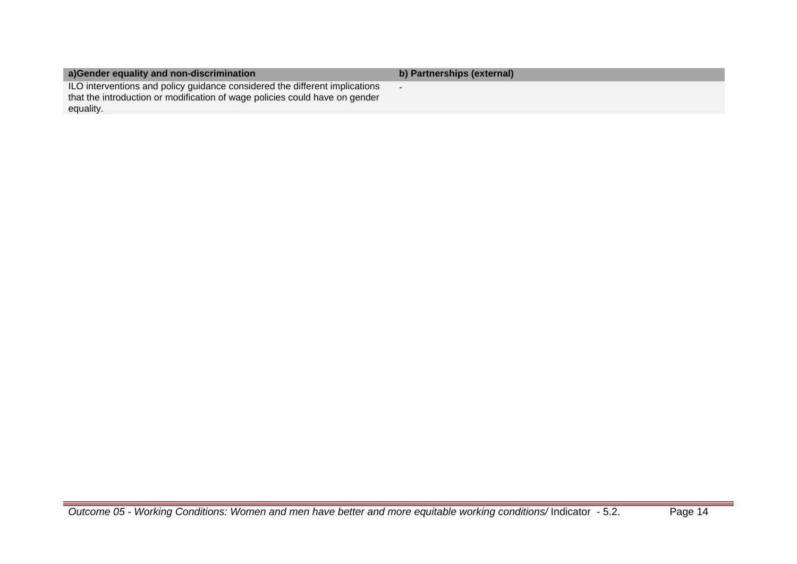| a) Gender equality and non-discrimination                                                                                                                               | b) Partnerships (external) |
|-------------------------------------------------------------------------------------------------------------------------------------------------------------------------|----------------------------|
| ILO interventions and policy guidance considered the different implications<br>that the introduction or modification of wage policies could have on gender<br>equality. |                            |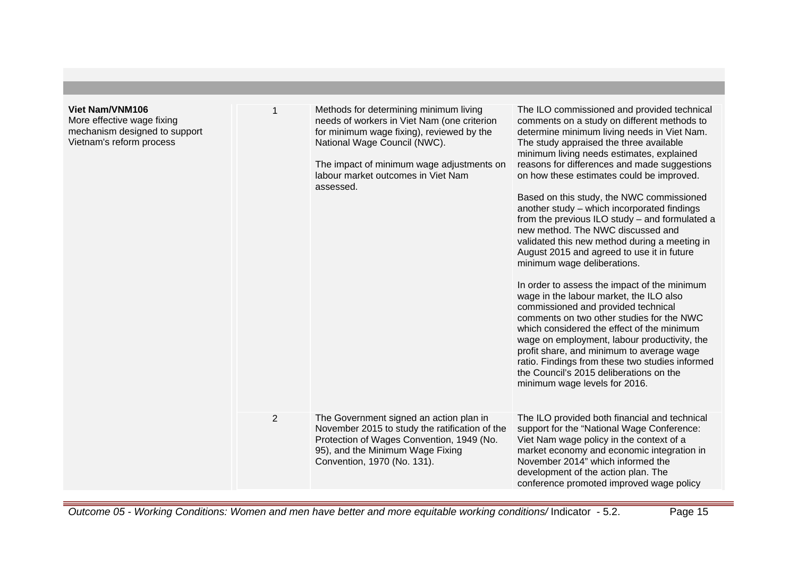| <b>Viet Nam/VNM106</b><br>More effective wage fixing<br>mechanism designed to support<br>Vietnam's reform process |                | Methods for determining minimum living<br>needs of workers in Viet Nam (one criterion<br>for minimum wage fixing), reviewed by the<br>National Wage Council (NWC).<br>The impact of minimum wage adjustments on<br>labour market outcomes in Viet Nam<br>assessed. | The ILO commissioned and provided technical<br>comments on a study on different methods to<br>determine minimum living needs in Viet Nam.<br>The study appraised the three available<br>minimum living needs estimates, explained<br>reasons for differences and made suggestions<br>on how these estimates could be improved.<br>Based on this study, the NWC commissioned<br>another study - which incorporated findings<br>from the previous ILO study - and formulated a<br>new method. The NWC discussed and<br>validated this new method during a meeting in<br>August 2015 and agreed to use it in future<br>minimum wage deliberations.<br>In order to assess the impact of the minimum<br>wage in the labour market, the ILO also<br>commissioned and provided technical<br>comments on two other studies for the NWC<br>which considered the effect of the minimum<br>wage on employment, labour productivity, the<br>profit share, and minimum to average wage<br>ratio. Findings from these two studies informed<br>the Council's 2015 deliberations on the<br>minimum wage levels for 2016. |
|-------------------------------------------------------------------------------------------------------------------|----------------|--------------------------------------------------------------------------------------------------------------------------------------------------------------------------------------------------------------------------------------------------------------------|----------------------------------------------------------------------------------------------------------------------------------------------------------------------------------------------------------------------------------------------------------------------------------------------------------------------------------------------------------------------------------------------------------------------------------------------------------------------------------------------------------------------------------------------------------------------------------------------------------------------------------------------------------------------------------------------------------------------------------------------------------------------------------------------------------------------------------------------------------------------------------------------------------------------------------------------------------------------------------------------------------------------------------------------------------------------------------------------------------|
|                                                                                                                   | $\overline{2}$ | The Government signed an action plan in<br>November 2015 to study the ratification of the<br>Protection of Wages Convention, 1949 (No.<br>95), and the Minimum Wage Fixing<br>Convention, 1970 (No. 131).                                                          | The ILO provided both financial and technical<br>support for the "National Wage Conference:<br>Viet Nam wage policy in the context of a<br>market economy and economic integration in<br>November 2014" which informed the<br>development of the action plan. The<br>conference promoted improved wage policy                                                                                                                                                                                                                                                                                                                                                                                                                                                                                                                                                                                                                                                                                                                                                                                            |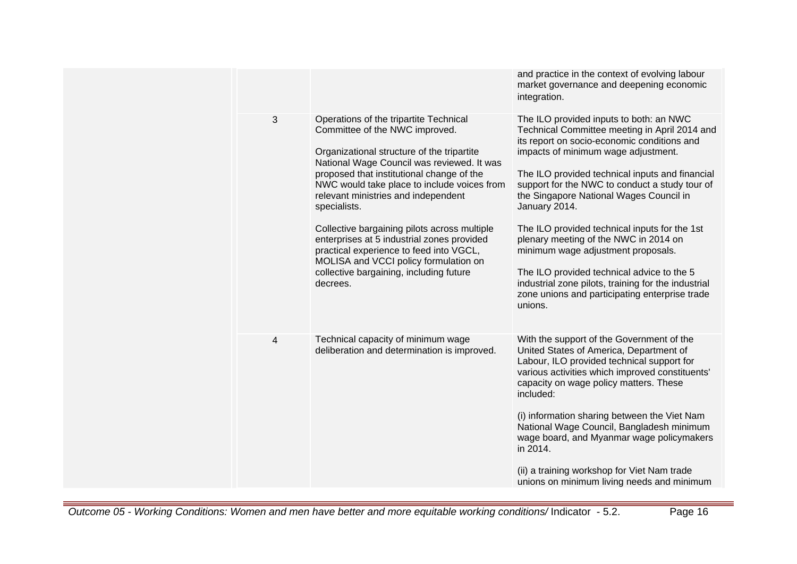|   |                                                                                                                                                                                                                                                                                                                                                                                                                                                                                                                                                                  | and practice in the context of evolving labour<br>market governance and deepening economic<br>integration.                                                                                                                                                                                                                                                                                                                                                                                                                                                                                                                                        |
|---|------------------------------------------------------------------------------------------------------------------------------------------------------------------------------------------------------------------------------------------------------------------------------------------------------------------------------------------------------------------------------------------------------------------------------------------------------------------------------------------------------------------------------------------------------------------|---------------------------------------------------------------------------------------------------------------------------------------------------------------------------------------------------------------------------------------------------------------------------------------------------------------------------------------------------------------------------------------------------------------------------------------------------------------------------------------------------------------------------------------------------------------------------------------------------------------------------------------------------|
| 3 | Operations of the tripartite Technical<br>Committee of the NWC improved.<br>Organizational structure of the tripartite<br>National Wage Council was reviewed. It was<br>proposed that institutional change of the<br>NWC would take place to include voices from<br>relevant ministries and independent<br>specialists.<br>Collective bargaining pilots across multiple<br>enterprises at 5 industrial zones provided<br>practical experience to feed into VGCL,<br>MOLISA and VCCI policy formulation on<br>collective bargaining, including future<br>decrees. | The ILO provided inputs to both: an NWC<br>Technical Committee meeting in April 2014 and<br>its report on socio-economic conditions and<br>impacts of minimum wage adjustment.<br>The ILO provided technical inputs and financial<br>support for the NWC to conduct a study tour of<br>the Singapore National Wages Council in<br>January 2014.<br>The ILO provided technical inputs for the 1st<br>plenary meeting of the NWC in 2014 on<br>minimum wage adjustment proposals.<br>The ILO provided technical advice to the 5<br>industrial zone pilots, training for the industrial<br>zone unions and participating enterprise trade<br>unions. |
| 4 | Technical capacity of minimum wage<br>deliberation and determination is improved.                                                                                                                                                                                                                                                                                                                                                                                                                                                                                | With the support of the Government of the<br>United States of America, Department of<br>Labour, ILO provided technical support for<br>various activities which improved constituents'<br>capacity on wage policy matters. These<br>included:<br>(i) information sharing between the Viet Nam<br>National Wage Council, Bangladesh minimum<br>wage board, and Myanmar wage policymakers<br>in 2014.<br>(ii) a training workshop for Viet Nam trade<br>unions on minimum living needs and minimum                                                                                                                                                   |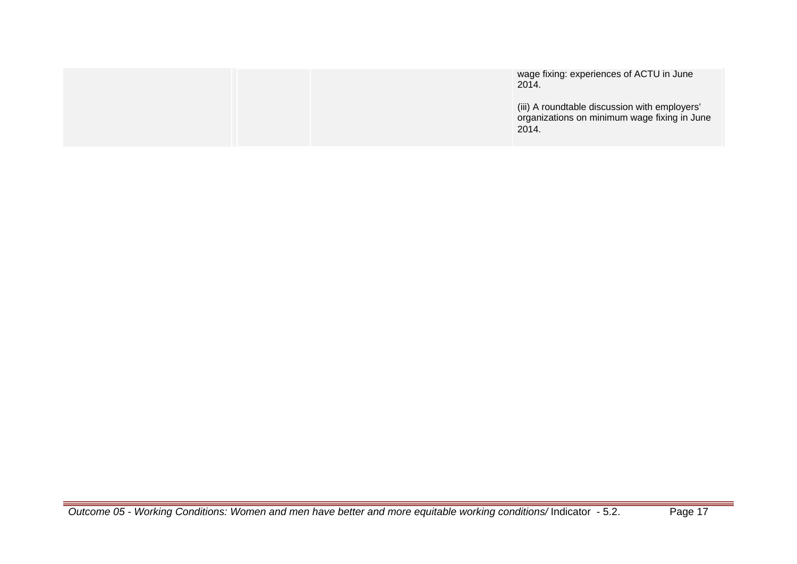|  | wage fixing: experiences of ACTU in June<br>2014.                                                      |
|--|--------------------------------------------------------------------------------------------------------|
|  | (iii) A roundtable discussion with employers'<br>organizations on minimum wage fixing in June<br>2014. |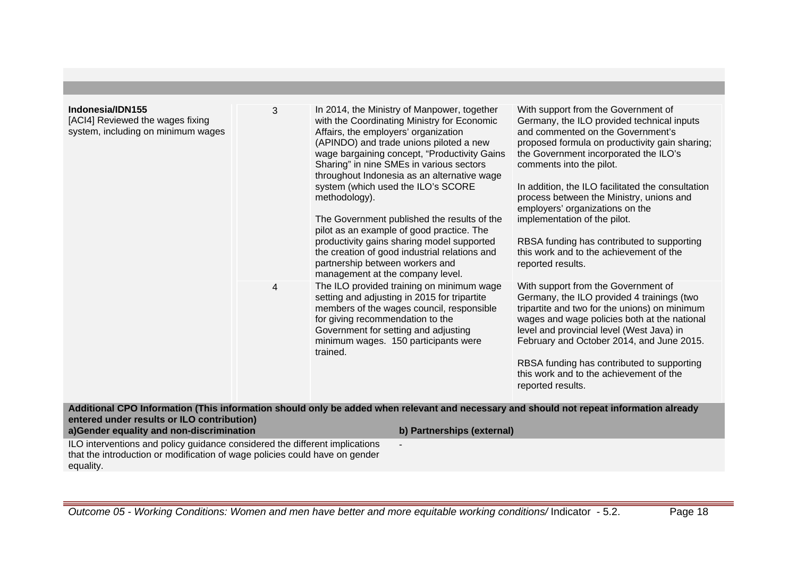| Indonesia/IDN155<br>[ACI4] Reviewed the wages fixing<br>system, including on minimum wages | 3 | In 2014, the Ministry of Manpower, together<br>with the Coordinating Ministry for Economic<br>Affairs, the employers' organization<br>(APINDO) and trade unions piloted a new<br>wage bargaining concept, "Productivity Gains<br>Sharing" in nine SMEs in various sectors<br>throughout Indonesia as an alternative wage<br>system (which used the ILO's SCORE<br>methodology).<br>The Government published the results of the<br>pilot as an example of good practice. The<br>productivity gains sharing model supported<br>the creation of good industrial relations and<br>partnership between workers and<br>management at the company level. | With support from the Government of<br>Germany, the ILO provided technical inputs<br>and commented on the Government's<br>proposed formula on productivity gain sharing;<br>the Government incorporated the ILO's<br>comments into the pilot.<br>In addition, the ILO facilitated the consultation<br>process between the Ministry, unions and<br>employers' organizations on the<br>implementation of the pilot.<br>RBSA funding has contributed to supporting<br>this work and to the achievement of the<br>reported results. |
|--------------------------------------------------------------------------------------------|---|---------------------------------------------------------------------------------------------------------------------------------------------------------------------------------------------------------------------------------------------------------------------------------------------------------------------------------------------------------------------------------------------------------------------------------------------------------------------------------------------------------------------------------------------------------------------------------------------------------------------------------------------------|---------------------------------------------------------------------------------------------------------------------------------------------------------------------------------------------------------------------------------------------------------------------------------------------------------------------------------------------------------------------------------------------------------------------------------------------------------------------------------------------------------------------------------|
|                                                                                            | 4 | The ILO provided training on minimum wage<br>setting and adjusting in 2015 for tripartite<br>members of the wages council, responsible<br>for giving recommendation to the<br>Government for setting and adjusting<br>minimum wages. 150 participants were<br>trained.                                                                                                                                                                                                                                                                                                                                                                            | With support from the Government of<br>Germany, the ILO provided 4 trainings (two<br>tripartite and two for the unions) on minimum<br>wages and wage policies both at the national<br>level and provincial level (West Java) in<br>February and October 2014, and June 2015.<br>RBSA funding has contributed to supporting<br>this work and to the achievement of the<br>reported results.                                                                                                                                      |
| entered under results or ILO contribution)                                                 |   | Additional CPO Information (This information should only be added when relevant and necessary and should not repeat information already                                                                                                                                                                                                                                                                                                                                                                                                                                                                                                           |                                                                                                                                                                                                                                                                                                                                                                                                                                                                                                                                 |
| a)Gender equality and non-discrimination                                                   |   | b) Partnerships (external)                                                                                                                                                                                                                                                                                                                                                                                                                                                                                                                                                                                                                        |                                                                                                                                                                                                                                                                                                                                                                                                                                                                                                                                 |
| ILO interventions and policy guidance considered the different implications                |   |                                                                                                                                                                                                                                                                                                                                                                                                                                                                                                                                                                                                                                                   |                                                                                                                                                                                                                                                                                                                                                                                                                                                                                                                                 |

ILO interventions and policy guidance considered the different implications that the introduction or modification of wage policies could have on gender equality.

Outcome 05 - Working Conditions: Women and men have better and more equitable working conditions/ Indicator - 5.2. Page 18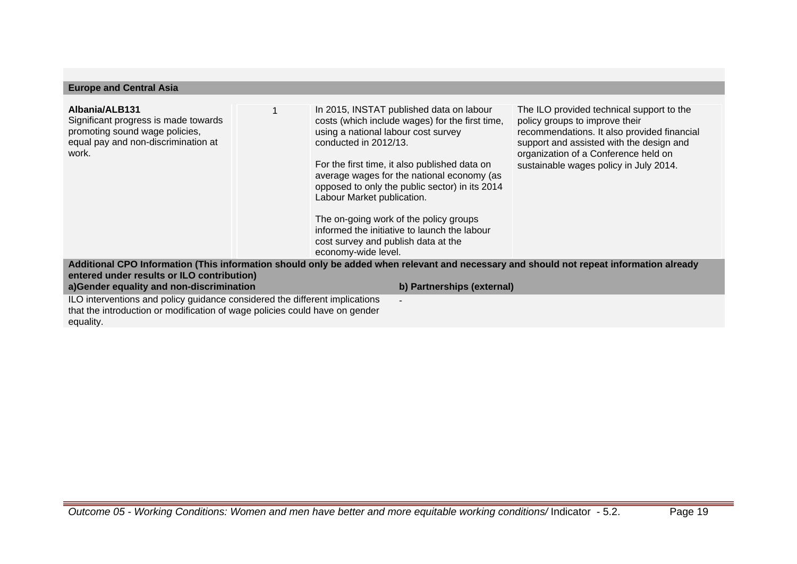| <b>Europe and Central Asia</b>                                                                                                                                          |                                                                                                                                                                                                                                                                                                                                                                                                                                                                                                    |                                                                                                                                                                                                                                                          |
|-------------------------------------------------------------------------------------------------------------------------------------------------------------------------|----------------------------------------------------------------------------------------------------------------------------------------------------------------------------------------------------------------------------------------------------------------------------------------------------------------------------------------------------------------------------------------------------------------------------------------------------------------------------------------------------|----------------------------------------------------------------------------------------------------------------------------------------------------------------------------------------------------------------------------------------------------------|
| Albania/ALB131<br>Significant progress is made towards<br>promoting sound wage policies,<br>equal pay and non-discrimination at<br>work.                                | In 2015, INSTAT published data on labour<br>costs (which include wages) for the first time,<br>using a national labour cost survey<br>conducted in 2012/13.<br>For the first time, it also published data on<br>average wages for the national economy (as<br>opposed to only the public sector) in its 2014<br>Labour Market publication.<br>The on-going work of the policy groups<br>informed the initiative to launch the labour<br>cost survey and publish data at the<br>economy-wide level. | The ILO provided technical support to the<br>policy groups to improve their<br>recommendations. It also provided financial<br>support and assisted with the design and<br>organization of a Conference held on<br>sustainable wages policy in July 2014. |
| entered under results or ILO contribution)<br>a)Gender equality and non-discrimination                                                                                  | Additional CPO Information (This information should only be added when relevant and necessary and should not repeat information already<br>b) Partnerships (external)                                                                                                                                                                                                                                                                                                                              |                                                                                                                                                                                                                                                          |
| ILO interventions and policy guidance considered the different implications<br>that the introduction or modification of wage policies could have on gender<br>equality. |                                                                                                                                                                                                                                                                                                                                                                                                                                                                                                    |                                                                                                                                                                                                                                                          |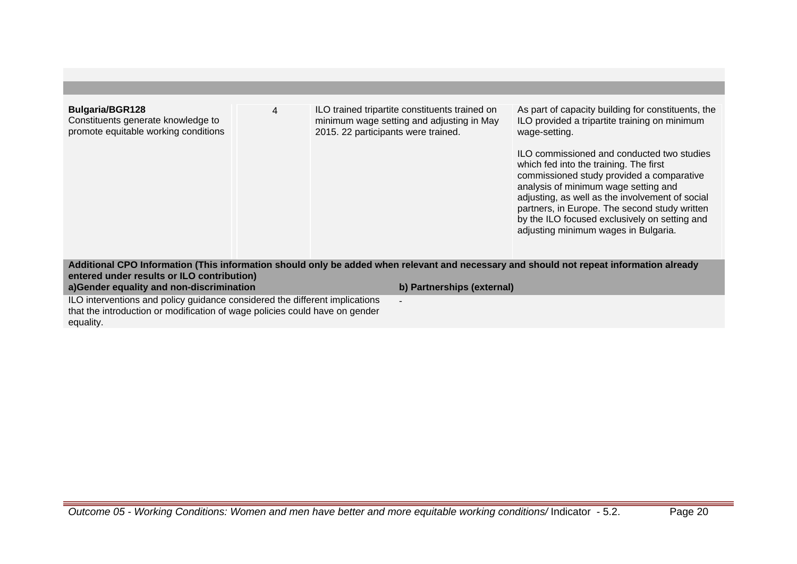| <b>Bulgaria/BGR128</b><br>Constituents generate knowledge to<br>promote equitable working conditions                                                                    | 4 | ILO trained tripartite constituents trained on<br>minimum wage setting and adjusting in May<br>2015. 22 participants were trained. |                            | As part of capacity building for constituents, the<br>ILO provided a tripartite training on minimum<br>wage-setting.<br>ILO commissioned and conducted two studies<br>which fed into the training. The first<br>commissioned study provided a comparative<br>analysis of minimum wage setting and<br>adjusting, as well as the involvement of social<br>partners, in Europe. The second study written<br>by the ILO focused exclusively on setting and<br>adjusting minimum wages in Bulgaria. |
|-------------------------------------------------------------------------------------------------------------------------------------------------------------------------|---|------------------------------------------------------------------------------------------------------------------------------------|----------------------------|------------------------------------------------------------------------------------------------------------------------------------------------------------------------------------------------------------------------------------------------------------------------------------------------------------------------------------------------------------------------------------------------------------------------------------------------------------------------------------------------|
|                                                                                                                                                                         |   |                                                                                                                                    |                            |                                                                                                                                                                                                                                                                                                                                                                                                                                                                                                |
| entered under results or ILO contribution)                                                                                                                              |   |                                                                                                                                    |                            | Additional CPO Information (This information should only be added when relevant and necessary and should not repeat information already                                                                                                                                                                                                                                                                                                                                                        |
| a)Gender equality and non-discrimination                                                                                                                                |   |                                                                                                                                    | b) Partnerships (external) |                                                                                                                                                                                                                                                                                                                                                                                                                                                                                                |
|                                                                                                                                                                         |   |                                                                                                                                    |                            |                                                                                                                                                                                                                                                                                                                                                                                                                                                                                                |
| ILO interventions and policy guidance considered the different implications<br>that the introduction or modification of wage policies could have on gender<br>equality. |   | $\blacksquare$                                                                                                                     |                            |                                                                                                                                                                                                                                                                                                                                                                                                                                                                                                |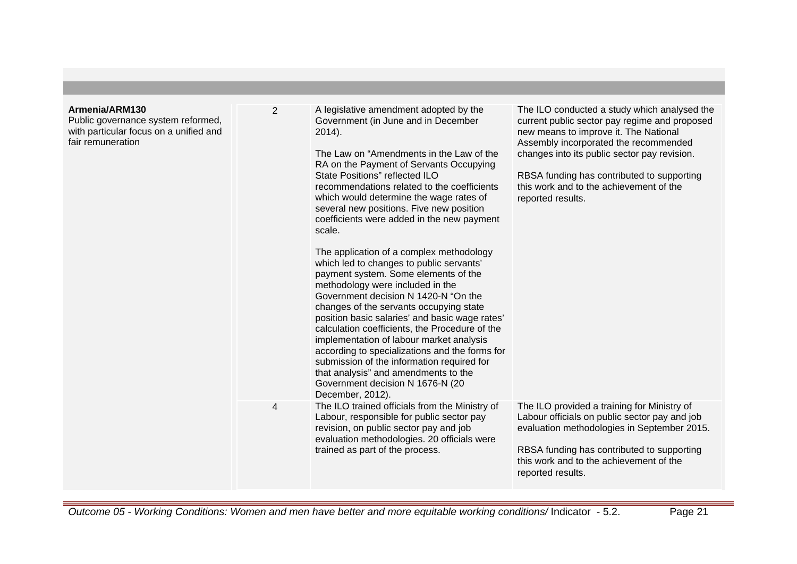| Armenia/ARM130<br>Public governance system reformed,<br>with particular focus on a unified and<br>fair remuneration | $\overline{2}$ | A legislative amendment adopted by the<br>Government (in June and in December<br>2014).<br>The Law on "Amendments in the Law of the<br>RA on the Payment of Servants Occupying<br>State Positions" reflected ILO<br>recommendations related to the coefficients<br>which would determine the wage rates of<br>several new positions. Five new position<br>coefficients were added in the new payment<br>scale.<br>The application of a complex methodology<br>which led to changes to public servants'<br>payment system. Some elements of the<br>methodology were included in the<br>Government decision N 1420-N "On the<br>changes of the servants occupying state<br>position basic salaries' and basic wage rates'<br>calculation coefficients, the Procedure of the<br>implementation of labour market analysis<br>according to specializations and the forms for<br>submission of the information required for<br>that analysis" and amendments to the<br>Government decision N 1676-N (20<br>December, 2012). | The ILO conducted a study which analysed the<br>current public sector pay regime and proposed<br>new means to improve it. The National<br>Assembly incorporated the recommended<br>changes into its public sector pay revision.<br>RBSA funding has contributed to supporting<br>this work and to the achievement of the<br>reported results. |
|---------------------------------------------------------------------------------------------------------------------|----------------|-----------------------------------------------------------------------------------------------------------------------------------------------------------------------------------------------------------------------------------------------------------------------------------------------------------------------------------------------------------------------------------------------------------------------------------------------------------------------------------------------------------------------------------------------------------------------------------------------------------------------------------------------------------------------------------------------------------------------------------------------------------------------------------------------------------------------------------------------------------------------------------------------------------------------------------------------------------------------------------------------------------------------|-----------------------------------------------------------------------------------------------------------------------------------------------------------------------------------------------------------------------------------------------------------------------------------------------------------------------------------------------|
|                                                                                                                     | 4              | The ILO trained officials from the Ministry of<br>Labour, responsible for public sector pay<br>revision, on public sector pay and job<br>evaluation methodologies. 20 officials were<br>trained as part of the process.                                                                                                                                                                                                                                                                                                                                                                                                                                                                                                                                                                                                                                                                                                                                                                                               | The ILO provided a training for Ministry of<br>Labour officials on public sector pay and job<br>evaluation methodologies in September 2015.<br>RBSA funding has contributed to supporting<br>this work and to the achievement of the<br>reported results.                                                                                     |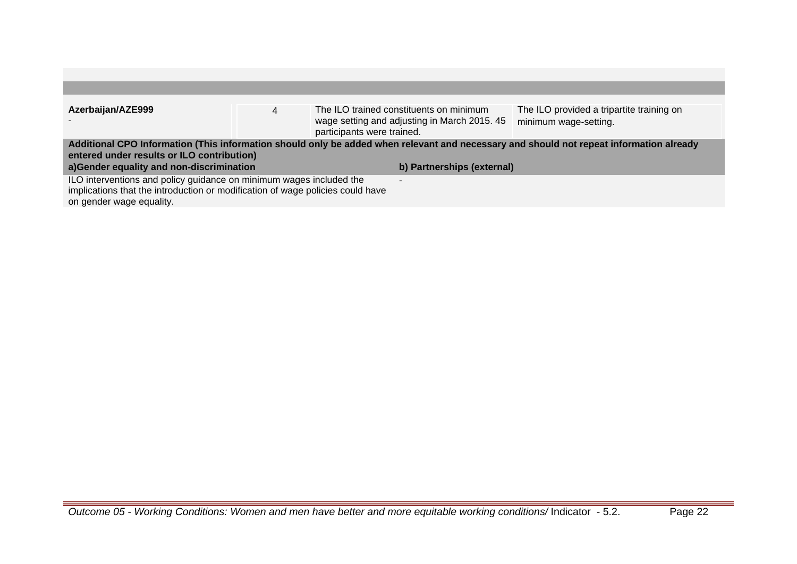| Azerbaijan/AZE999                                                                                                                                                                                                                                               | 4 | participants were trained. | The ILO trained constituents on minimum<br>wage setting and adjusting in March 2015. 45 | The ILO provided a tripartite training on<br>minimum wage-setting. |
|-----------------------------------------------------------------------------------------------------------------------------------------------------------------------------------------------------------------------------------------------------------------|---|----------------------------|-----------------------------------------------------------------------------------------|--------------------------------------------------------------------|
| Additional CPO Information (This information should only be added when relevant and necessary and should not repeat information already<br>entered under results or ILO contribution)<br>a)Gender equality and non-discrimination<br>b) Partnerships (external) |   |                            |                                                                                         |                                                                    |
| ILO interventions and policy guidance on minimum wages included the<br>implications that the introduction or modification of wage policies could have<br>on gender wage equality.                                                                               |   |                            |                                                                                         |                                                                    |